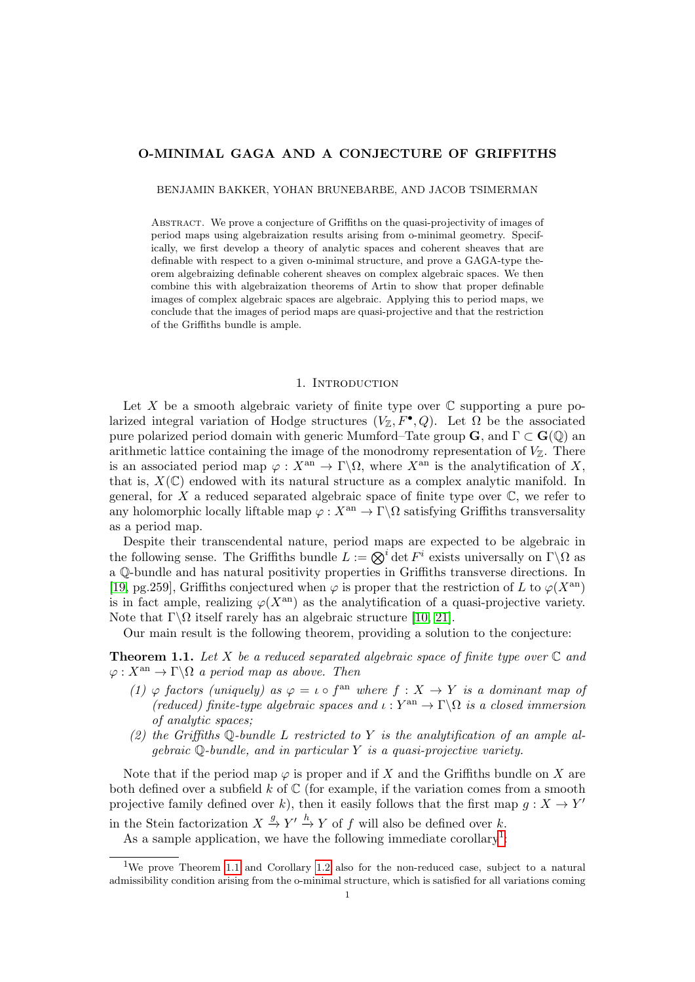## O-MINIMAL GAGA AND A CONJECTURE OF GRIFFITHS

BENJAMIN BAKKER, YOHAN BRUNEBARBE, AND JACOB TSIMERMAN

ABSTRACT. We prove a conjecture of Griffiths on the quasi-projectivity of images of period maps using algebraization results arising from o-minimal geometry. Specifically, we first develop a theory of analytic spaces and coherent sheaves that are definable with respect to a given o-minimal structure, and prove a GAGA-type theorem algebraizing definable coherent sheaves on complex algebraic spaces. We then combine this with algebraization theorems of Artin to show that proper definable images of complex algebraic spaces are algebraic. Applying this to period maps, we conclude that the images of period maps are quasi-projective and that the restriction of the Griffiths bundle is ample.

## 1. Introduction

Let X be a smooth algebraic variety of finite type over  $\mathbb C$  supporting a pure polarized integral variation of Hodge structures  $(V_{\mathbb{Z}}, F^{\bullet}, Q)$ . Let  $\Omega$  be the associated pure polarized period domain with generic Mumford–Tate group  $\mathbf{G}$ , and  $\Gamma \subset \mathbf{G}(\mathbb{Q})$  and arithmetic lattice containing the image of the monodromy representation of  $V_{\mathbb{Z}}$ . There is an associated period map  $\varphi: X^{\text{an}} \to \Gamma \backslash \Omega$ , where  $X^{\text{an}}$  is the analytification of X, that is,  $X(\mathbb{C})$  endowed with its natural structure as a complex analytic manifold. In general, for  $X$  a reduced separated algebraic space of finite type over  $\mathbb{C}$ , we refer to any holomorphic locally liftable map  $\varphi: X^{an} \to \Gamma \backslash \Omega$  satisfying Griffiths transversality as a period map.

Despite their transcendental nature, period maps are expected to be algebraic in the following sense. The Griffiths bundle  $L := \bigotimes^i \det F^i$  exists universally on  $\Gamma \backslash \Omega$  as a Q-bundle and has natural positivity properties in Griffiths transverse directions. In [\[19,](#page-30-0) pg.259], Griffiths conjectured when  $\varphi$  is proper that the restriction of L to  $\varphi(X^{\text{an}})$ is in fact ample, realizing  $\varphi(X^{\text{an}})$  as the analytification of a quasi-projective variety. Note that  $\Gamma \backslash \Omega$  itself rarely has an algebraic structure [\[10,](#page-30-1) [21\]](#page-30-2).

Our main result is the following theorem, providing a solution to the conjecture:

<span id="page-0-1"></span>**Theorem 1.1.** Let X be a reduced separated algebraic space of finite type over  $\mathbb C$  and  $\varphi: X^{\text{an}} \to \Gamma \backslash \Omega$  a period map as above. Then

- (1)  $\varphi$  factors (uniquely) as  $\varphi = \iota \circ f^{\text{an}}$  where  $f : X \to Y$  is a dominant map of (reduced) finite-type algebraic spaces and  $\iota : Y^{\text{an}} \to \Gamma \backslash \Omega$  is a closed immersion of analytic spaces;
- (2) the Griffiths  $\mathbb{Q}$ -bundle L restricted to Y is the analytification of an ample algebraic  $\mathbb Q$ -bundle, and in particular Y is a quasi-projective variety.

Note that if the period map  $\varphi$  is proper and if X and the Griffiths bundle on X are both defined over a subfield k of  $\mathbb C$  (for example, if the variation comes from a smooth projective family defined over k), then it easily follows that the first map  $g: X \to Y'$ in the Stein factorization  $X \stackrel{g}{\to} Y' \stackrel{h}{\to} Y$  of f will also be defined over k.

As a sample application, we have the following immediate corollary<sup>[1](#page-0-0)</sup>:

<span id="page-0-0"></span><sup>1</sup>We prove Theorem [1.1](#page-0-1) and Corollary [1.2](#page-1-0) also for the non-reduced case, subject to a natural admissibility condition arising from the o-minimal structure, which is satisfied for all variations coming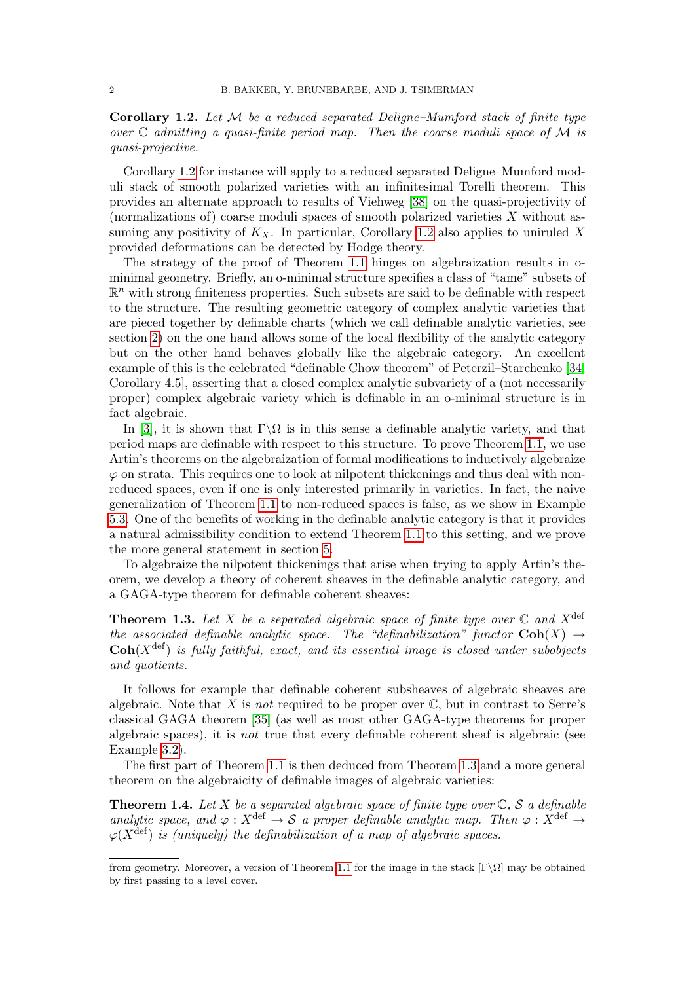<span id="page-1-0"></span>**Corollary 1.2.** Let  $M$  be a reduced separated Deligne–Mumford stack of finite type over  $\mathbb C$  admitting a quasi-finite period map. Then the coarse moduli space of M is quasi-projective.

Corollary [1.2](#page-1-0) for instance will apply to a reduced separated Deligne–Mumford moduli stack of smooth polarized varieties with an infinitesimal Torelli theorem. This provides an alternate approach to results of Viehweg [\[38\]](#page-31-0) on the quasi-projectivity of (normalizations of) coarse moduli spaces of smooth polarized varieties X without assuming any positivity of  $K_X$ . In particular, Corollary [1.2](#page-1-0) also applies to uniruled X provided deformations can be detected by Hodge theory.

The strategy of the proof of Theorem [1.1](#page-0-1) hinges on algebraization results in ominimal geometry. Briefly, an o-minimal structure specifies a class of "tame" subsets of  $\mathbb{R}^n$  with strong finiteness properties. Such subsets are said to be definable with respect to the structure. The resulting geometric category of complex analytic varieties that are pieced together by definable charts (which we call definable analytic varieties, see section [2\)](#page-3-0) on the one hand allows some of the local flexibility of the analytic category but on the other hand behaves globally like the algebraic category. An excellent example of this is the celebrated "definable Chow theorem" of Peterzil–Starchenko [\[34,](#page-31-1) Corollary 4.5], asserting that a closed complex analytic subvariety of a (not necessarily proper) complex algebraic variety which is definable in an o-minimal structure is in fact algebraic.

In [\[3\]](#page-30-3), it is shown that  $\Gamma \backslash \Omega$  is in this sense a definable analytic variety, and that period maps are definable with respect to this structure. To prove Theorem [1.1,](#page-0-1) we use Artin's theorems on the algebraization of formal modifications to inductively algebraize  $\varphi$  on strata. This requires one to look at nilpotent thickenings and thus deal with nonreduced spaces, even if one is only interested primarily in varieties. In fact, the naive generalization of Theorem [1.1](#page-0-1) to non-reduced spaces is false, as we show in Example [5.3.](#page-21-0) One of the benefits of working in the definable analytic category is that it provides a natural admissibility condition to extend Theorem [1.1](#page-0-1) to this setting, and we prove the more general statement in section [5.](#page-20-0)

To algebraize the nilpotent thickenings that arise when trying to apply Artin's theorem, we develop a theory of coherent sheaves in the definable analytic category, and a GAGA-type theorem for definable coherent sheaves:

<span id="page-1-1"></span>**Theorem 1.3.** Let X be a separated algebraic space of finite type over  $\mathbb C$  and  $X^{\text{def}}$ the associated definable analytic space. The "definabilization" functor  $\text{Coh}(X) \rightarrow$  $\mathbf{Coh}(X^{\text{def}})$  is fully faithful, exact, and its essential image is closed under subobjects and quotients.

It follows for example that definable coherent subsheaves of algebraic sheaves are algebraic. Note that X is not required to be proper over  $\mathbb{C}$ , but in contrast to Serre's classical GAGA theorem [\[35\]](#page-31-2) (as well as most other GAGA-type theorems for proper algebraic spaces), it is not true that every definable coherent sheaf is algebraic (see Example [3.2\)](#page-15-0).

The first part of Theorem [1.1](#page-0-1) is then deduced from Theorem [1.3](#page-1-1) and a more general theorem on the algebraicity of definable images of algebraic varieties:

<span id="page-1-2"></span>**Theorem 1.4.** Let X be a separated algebraic space of finite type over  $\mathbb{C}$ , S a definable analytic space, and  $\varphi : X^{\text{def}} \to S$  a proper definable analytic map. Then  $\varphi : X^{\text{def}} \to$  $\varphi(X^{\text{def}})$  is (uniquely) the definabilization of a map of algebraic spaces.

from geometry. Moreover, a version of Theorem [1.1](#page-0-1) for the image in the stack  $[\Gamma\setminus\Omega]$  may be obtained by first passing to a level cover.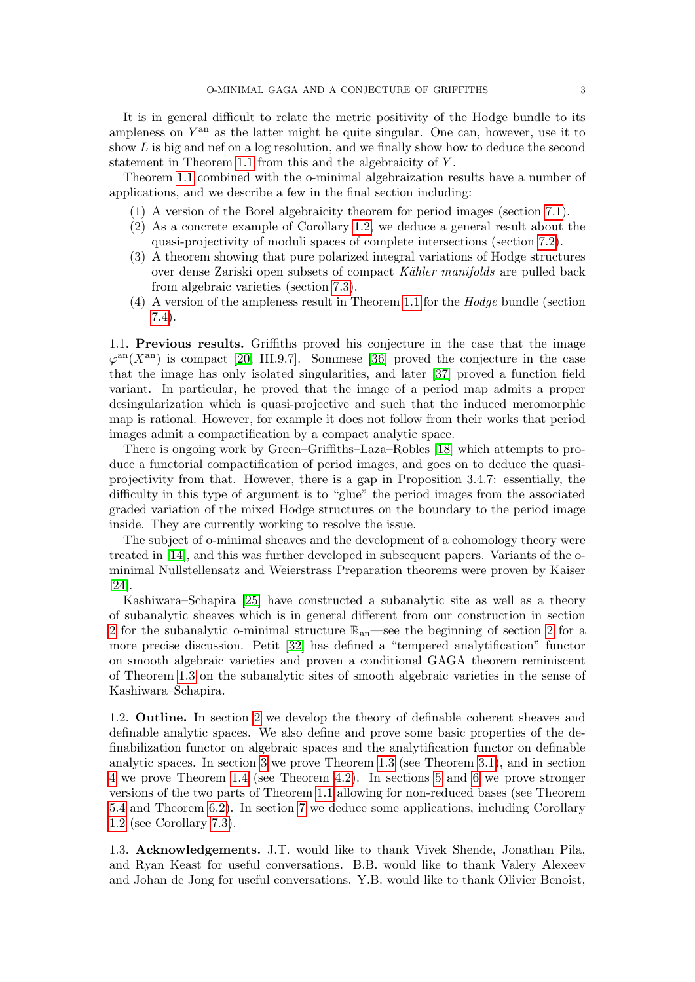It is in general difficult to relate the metric positivity of the Hodge bundle to its ampleness on  $Y<sup>an</sup>$  as the latter might be quite singular. One can, however, use it to show L is big and nef on a log resolution, and we finally show how to deduce the second statement in Theorem [1.1](#page-0-1) from this and the algebraicity of Y .

Theorem [1.1](#page-0-1) combined with the o-minimal algebraization results have a number of applications, and we describe a few in the final section including:

- (1) A version of the Borel algebraicity theorem for period images (section [7.1\)](#page-27-0).
- (2) As a concrete example of Corollary [1.2,](#page-1-0) we deduce a general result about the quasi-projectivity of moduli spaces of complete intersections (section [7.2\)](#page-27-1).
- (3) A theorem showing that pure polarized integral variations of Hodge structures over dense Zariski open subsets of compact Kähler manifolds are pulled back from algebraic varieties (section [7.3\)](#page-28-0).
- (4) A version of the ampleness result in Theorem [1.1](#page-0-1) for the Hodge bundle (section [7.4\)](#page-29-0).

1.1. Previous results. Griffiths proved his conjecture in the case that the image  $\varphi^{\text{an}}(X^{\text{an}})$  is compact [\[20,](#page-30-4) III.9.7]. Sommese [\[36\]](#page-31-3) proved the conjecture in the case that the image has only isolated singularities, and later [\[37\]](#page-31-4) proved a function field variant. In particular, he proved that the image of a period map admits a proper desingularization which is quasi-projective and such that the induced meromorphic map is rational. However, for example it does not follow from their works that period images admit a compactification by a compact analytic space.

There is ongoing work by Green–Griffiths–Laza–Robles [\[18\]](#page-30-5) which attempts to produce a functorial compactification of period images, and goes on to deduce the quasiprojectivity from that. However, there is a gap in Proposition 3.4.7: essentially, the difficulty in this type of argument is to "glue" the period images from the associated graded variation of the mixed Hodge structures on the boundary to the period image inside. They are currently working to resolve the issue.

The subject of o-minimal sheaves and the development of a cohomology theory were treated in [\[14\]](#page-30-6), and this was further developed in subsequent papers. Variants of the ominimal Nullstellensatz and Weierstrass Preparation theorems were proven by Kaiser [\[24\]](#page-30-7).

Kashiwara–Schapira [\[25\]](#page-30-8) have constructed a subanalytic site as well as a theory of subanalytic sheaves which is in general different from our construction in section [2](#page-3-0) for the subanalytic o-minimal structure  $\mathbb{R}_{an}$ —see the beginning of section [2](#page-3-0) for a more precise discussion. Petit [\[32\]](#page-31-5) has defined a "tempered analytification" functor on smooth algebraic varieties and proven a conditional GAGA theorem reminiscent of Theorem [1.3](#page-1-1) on the subanalytic sites of smooth algebraic varieties in the sense of Kashiwara–Schapira.

1.2. Outline. In section [2](#page-3-0) we develop the theory of definable coherent sheaves and definable analytic spaces. We also define and prove some basic properties of the definabilization functor on algebraic spaces and the analytification functor on definable analytic spaces. In section [3](#page-15-1) we prove Theorem [1.3](#page-1-1) (see Theorem [3.1\)](#page-15-2), and in section [4](#page-17-0) we prove Theorem [1.4](#page-1-2) (see Theorem [4.2\)](#page-17-1). In sections [5](#page-20-0) and [6](#page-24-0) we prove stronger versions of the two parts of Theorem [1.1](#page-0-1) allowing for non-reduced bases (see Theorem [5.4](#page-21-1) and Theorem [6.2\)](#page-24-1). In section [7](#page-27-2) we deduce some applications, including Corollary [1.2](#page-1-0) (see Corollary [7.3\)](#page-27-3).

1.3. Acknowledgements. J.T. would like to thank Vivek Shende, Jonathan Pila, and Ryan Keast for useful conversations. B.B. would like to thank Valery Alexeev and Johan de Jong for useful conversations. Y.B. would like to thank Olivier Benoist,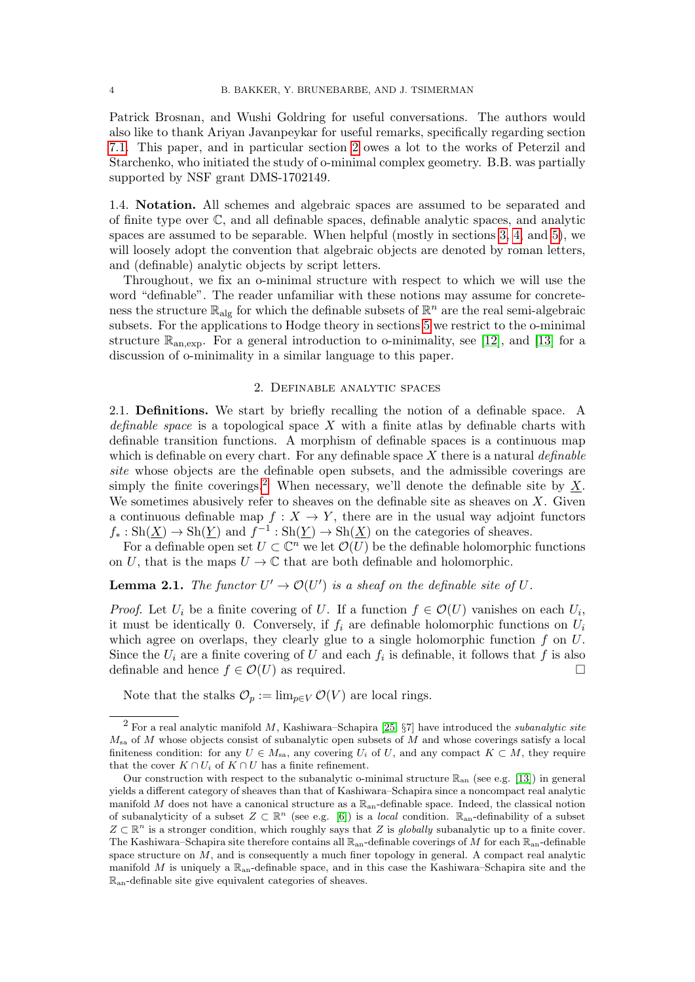Patrick Brosnan, and Wushi Goldring for useful conversations. The authors would also like to thank Ariyan Javanpeykar for useful remarks, specifically regarding section [7.1.](#page-27-0) This paper, and in particular section [2](#page-3-0) owes a lot to the works of Peterzil and Starchenko, who initiated the study of o-minimal complex geometry. B.B. was partially supported by NSF grant DMS-1702149.

1.4. Notation. All schemes and algebraic spaces are assumed to be separated and of finite type over C, and all definable spaces, definable analytic spaces, and analytic spaces are assumed to be separable. When helpful (mostly in sections [3,](#page-15-1) [4,](#page-17-0) and [5\)](#page-20-0), we will loosely adopt the convention that algebraic objects are denoted by roman letters, and (definable) analytic objects by script letters.

Throughout, we fix an o-minimal structure with respect to which we will use the word "definable". The reader unfamiliar with these notions may assume for concreteness the structure  $\mathbb{R}_{\text{alg}}$  for which the definable subsets of  $\mathbb{R}^n$  are the real semi-algebraic subsets. For the applications to Hodge theory in sections [5](#page-20-0) we restrict to the o-minimal structure  $\mathbb{R}_{an,exp}$ . For a general introduction to o-minimality, see [\[12\]](#page-30-9), and [\[13\]](#page-30-10) for a discussion of o-minimality in a similar language to this paper.

## 2. Definable analytic spaces

<span id="page-3-0"></span>2.1. Definitions. We start by briefly recalling the notion of a definable space. A definable space is a topological space  $X$  with a finite atlas by definable charts with definable transition functions. A morphism of definable spaces is a continuous map which is definable on every chart. For any definable space  $X$  there is a natural *definable* site whose objects are the definable open subsets, and the admissible coverings are simply the finite coverings.<sup>[2](#page-3-1)</sup> When necessary, we'll denote the definable site by X. We sometimes abusively refer to sheaves on the definable site as sheaves on  $X$ . Given a continuous definable map  $f: X \to Y$ , there are in the usual way adjoint functors  $f_* : Sh(\underline{X}) \to Sh(\underline{Y})$  and  $f^{-1}: Sh(\underline{Y}) \to Sh(\underline{X})$  on the categories of sheaves.

For a definable open set  $U \subset \mathbb{C}^n$  we let  $\mathcal{O}(U)$  be the definable holomorphic functions on U, that is the maps  $U \to \mathbb{C}$  that are both definable and holomorphic.

# **Lemma 2.1.** The functor  $U' \to \mathcal{O}(U')$  is a sheaf on the definable site of U.

*Proof.* Let  $U_i$  be a finite covering of U. If a function  $f \in \mathcal{O}(U)$  vanishes on each  $U_i$ , it must be identically 0. Conversely, if  $f_i$  are definable holomorphic functions on  $U_i$ which agree on overlaps, they clearly glue to a single holomorphic function  $f$  on  $U$ . Since the  $U_i$  are a finite covering of U and each  $f_i$  is definable, it follows that f is also definable and hence  $f \in \mathcal{O}(U)$  as required.

Note that the stalks  $\mathcal{O}_p := \lim_{p \in V} \mathcal{O}(V)$  are local rings.

<span id="page-3-1"></span> $2$  For a real analytic manifold M, Kashiwara–Schapira [\[25,](#page-30-8)  $\S7$ ] have introduced the *subanalytic site*  $M_{sa}$  of M whose objects consist of subanalytic open subsets of M and whose coverings satisfy a local finiteness condition: for any  $U \in M_{sa}$ , any covering  $U_i$  of U, and any compact  $K \subset M$ , they require that the cover  $K \cap U_i$  of  $K \cap U$  has a finite refinement.

Our construction with respect to the subanalytic o-minimal structure  $\mathbb{R}_{\text{an}}$  (see e.g. [\[13\]](#page-30-10)) in general yields a different category of sheaves than that of Kashiwara–Schapira since a noncompact real analytic manifold M does not have a canonical structure as a  $\mathbb{R}_{\text{an}}$ -definable space. Indeed, the classical notion of subanalyticity of a subset  $Z \subset \mathbb{R}^n$  (see e.g. [\[6\]](#page-30-11)) is a *local* condition.  $\mathbb{R}_{\text{an}}$ -definability of a subset  $Z \subset \mathbb{R}^n$  is a stronger condition, which roughly says that Z is globally subanalytic up to a finite cover. The Kashiwara–Schapira site therefore contains all  $\mathbb{R}_{an}$ -definable coverings of M for each  $\mathbb{R}_{an}$ -definable space structure on  $M$ , and is consequently a much finer topology in general. A compact real analytic manifold M is uniquely a  $\mathbb{R}_{an}$ -definable space, and in this case the Kashiwara–Schapira site and the  $\mathbb{R}_{\text{an}}$ -definable site give equivalent categories of sheaves.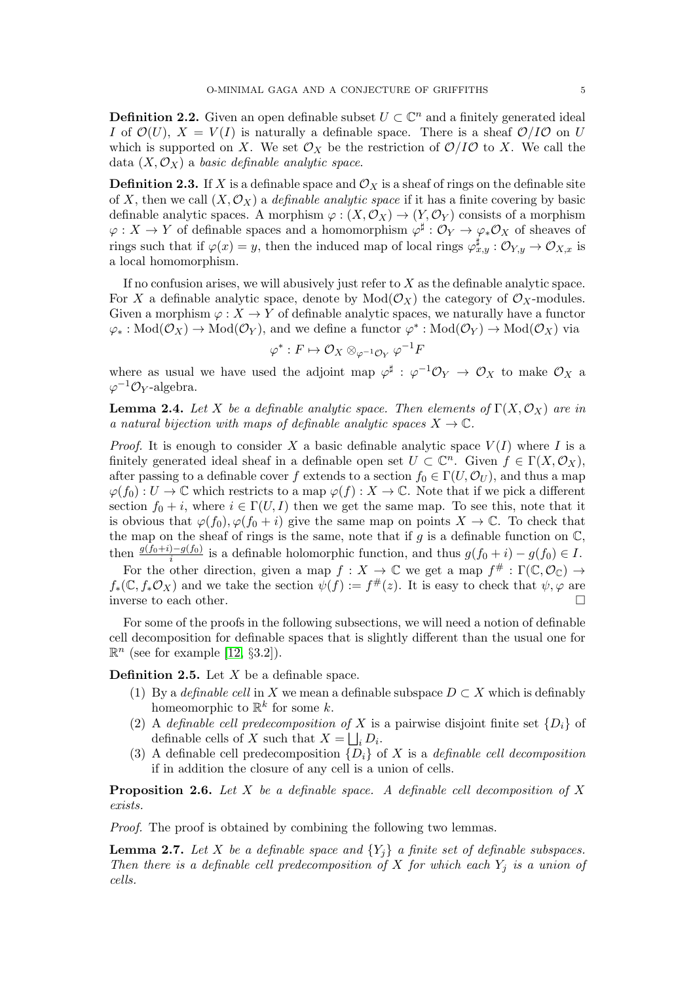**Definition 2.2.** Given an open definable subset  $U \subset \mathbb{C}^n$  and a finitely generated ideal I of  $\mathcal{O}(U)$ ,  $X = V(I)$  is naturally a definable space. There is a sheaf  $\mathcal{O}/I\mathcal{O}$  on U which is supported on X. We set  $\mathcal{O}_X$  be the restriction of  $\mathcal{O}/I\mathcal{O}$  to X. We call the data  $(X, \mathcal{O}_X)$  a basic definable analytic space.

**Definition 2.3.** If X is a definable space and  $\mathcal{O}_X$  is a sheaf of rings on the definable site of X, then we call  $(X, \mathcal{O}_X)$  a *definable analytic space* if it has a finite covering by basic definable analytic spaces. A morphism  $\varphi : (X, \mathcal{O}_X) \to (Y, \mathcal{O}_Y)$  consists of a morphism  $\varphi: X \to Y$  of definable spaces and a homomorphism  $\varphi^{\sharp}: \mathcal{O}_Y \to \varphi_* \mathcal{O}_X$  of sheaves of rings such that if  $\varphi(x) = y$ , then the induced map of local rings  $\varphi_{x,y}^{\sharp} : \mathcal{O}_{Y,y} \to \mathcal{O}_{X,x}$  is a local homomorphism.

If no confusion arises, we will abusively just refer to  $X$  as the definable analytic space. For X a definable analytic space, denote by  $Mod(\mathcal{O}_X)$  the category of  $\mathcal{O}_X$ -modules. Given a morphism  $\varphi: X \to Y$  of definable analytic spaces, we naturally have a functor  $\varphi_*: Mod(\mathcal{O}_X) \to Mod(\mathcal{O}_Y)$ , and we define a functor  $\varphi^*: Mod(\mathcal{O}_Y) \to Mod(\mathcal{O}_X)$  via

$$
\varphi^*:F\mapsto \mathcal{O}_X\otimes_{\varphi^{-1}\mathcal{O}_Y}\varphi^{-1}F
$$

where as usual we have used the adjoint map  $\varphi^{\sharp}: \varphi^{-1}\mathcal{O}_Y \to \mathcal{O}_X$  to make  $\mathcal{O}_X$  a  $\varphi^{-1}\mathcal{O}_Y$ -algebra.

<span id="page-4-1"></span>**Lemma 2.4.** Let X be a definable analytic space. Then elements of  $\Gamma(X, \mathcal{O}_X)$  are in a natural bijection with maps of definable analytic spaces  $X \to \mathbb{C}$ .

*Proof.* It is enough to consider X a basic definable analytic space  $V(I)$  where I is a finitely generated ideal sheaf in a definable open set  $U \subset \mathbb{C}^n$ . Given  $f \in \Gamma(X, \mathcal{O}_X)$ , after passing to a definable cover f extends to a section  $f_0 \in \Gamma(U, \mathcal{O}_U)$ , and thus a map  $\varphi(f_0): U \to \mathbb{C}$  which restricts to a map  $\varphi(f): X \to \mathbb{C}$ . Note that if we pick a different section  $f_0 + i$ , where  $i \in \Gamma(U, I)$  then we get the same map. To see this, note that it is obvious that  $\varphi(f_0), \varphi(f_0 + i)$  give the same map on points  $X \to \mathbb{C}$ . To check that the map on the sheaf of rings is the same, note that if g is a definable function on  $\mathbb{C}$ , then  $\frac{g(f_0+i)-g(f_0)}{i}$  is a definable holomorphic function, and thus  $g(f_0+i)-g(f_0) \in I$ .

For the other direction, given a map  $f: X \to \mathbb{C}$  we get a map  $f^{\#} : \Gamma(\mathbb{C}, \mathcal{O}_{\mathbb{C}}) \to$  $f_*(\mathbb{C}, f_*\mathcal{O}_X)$  and we take the section  $\psi(f) := f^{\#}(z)$ . It is easy to check that  $\psi, \varphi$  are inverse to each other.

For some of the proofs in the following subsections, we will need a notion of definable cell decomposition for definable spaces that is slightly different than the usual one for  $\mathbb{R}^n$  (see for example [\[12,](#page-30-9) §3.2]).

**Definition 2.5.** Let  $X$  be a definable space.

- (1) By a *definable cell* in X we mean a definable subspace  $D \subset X$  which is definably homeomorphic to  $\mathbb{R}^k$  for some k.
- (2) A definable cell predecomposition of X is a pairwise disjoint finite set  $\{D_i\}$  of definable cells of X such that  $X = \bigsqcup_i D_i$ .
- (3) A definable cell predecomposition  $\{D_i\}$  of X is a *definable cell decomposition* if in addition the closure of any cell is a union of cells.

<span id="page-4-0"></span>**Proposition 2.6.** Let X be a definable space. A definable cell decomposition of X exists.

Proof. The proof is obtained by combining the following two lemmas.

**Lemma 2.7.** Let X be a definable space and  $\{Y_i\}$  a finite set of definable subspaces. Then there is a definable cell predecomposition of X for which each  $Y_i$  is a union of cells.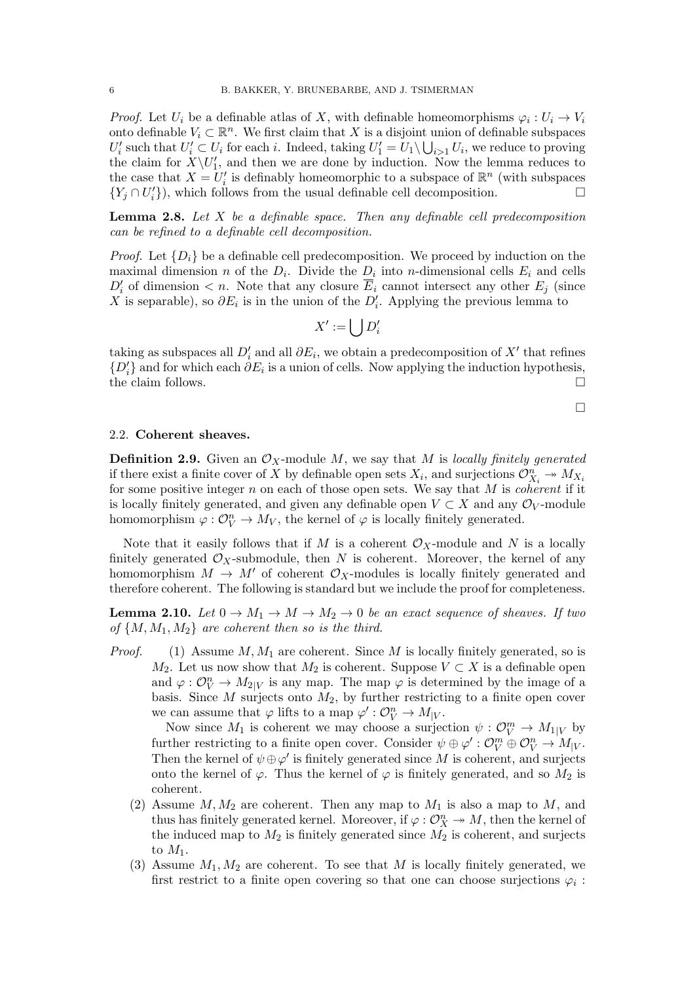*Proof.* Let  $U_i$  be a definable atlas of X, with definable homeomorphisms  $\varphi_i: U_i \to V_i$ onto definable  $V_i \subset \mathbb{R}^n$ . We first claim that X is a disjoint union of definable subspaces  $U'_i$  such that  $U'_i \subset U_i$  for each i. Indeed, taking  $U'_1 = U_1 \setminus \bigcup_{i>1} U_i$ , we reduce to proving the claim for  $X\setminus U'_1$ , and then we are done by induction. Now the lemma reduces to the case that  $X = U'_i$  is definably homeomorphic to a subspace of  $\mathbb{R}^n$  (with subspaces  ${Y_j \cap U'_i}$ , which follows from the usual definable cell decomposition.

**Lemma 2.8.** Let  $X$  be a definable space. Then any definable cell predecomposition can be refined to a definable cell decomposition.

*Proof.* Let  $\{D_i\}$  be a definable cell predecomposition. We proceed by induction on the maximal dimension *n* of the  $D_i$ . Divide the  $D_i$  into *n*-dimensional cells  $E_i$  and cells  $D_i'$  of dimension  $\lt n$ . Note that any closure  $\overline{E}_i$  cannot intersect any other  $E_j$  (since X is separable), so  $\partial E_i$  is in the union of the  $D'_i$ . Applying the previous lemma to

$$
X':=\bigcup D_i'
$$

taking as subspaces all  $D_i'$  and all  $\partial E_i$ , we obtain a predecomposition of X' that refines  $\{D_i'\}$  and for which each  $\partial E_i$  is a union of cells. Now applying the induction hypothesis, the claim follows.  $\Box$ 

 $\Box$ 

### 2.2. Coherent sheaves.

**Definition 2.9.** Given an  $\mathcal{O}_X$ -module M, we say that M is locally finitely generated if there exist a finite cover of X by definable open sets  $X_i$ , and surjections  $\mathcal{O}_{X_i}^n \to M_{X_i}$ for some positive integer  $n$  on each of those open sets. We say that  $M$  is *coherent* if it is locally finitely generated, and given any definable open  $V \subset X$  and any  $\mathcal{O}_V$ -module homomorphism  $\varphi : \mathcal{O}_V^n \to M_V$ , the kernel of  $\varphi$  is locally finitely generated.

Note that it easily follows that if M is a coherent  $\mathcal{O}_X$ -module and N is a locally finitely generated  $\mathcal{O}_X$ -submodule, then N is coherent. Moreover, the kernel of any homomorphism  $M \to M'$  of coherent  $\mathcal{O}_X$ -modules is locally finitely generated and therefore coherent. The following is standard but we include the proof for completeness.

<span id="page-5-0"></span>**Lemma 2.10.** Let  $0 \to M_1 \to M \to M_2 \to 0$  be an exact sequence of sheaves. If two of  $\{M, M_1, M_2\}$  are coherent then so is the third.

*Proof.* (1) Assume  $M, M_1$  are coherent. Since M is locally finitely generated, so is  $M_2$ . Let us now show that  $M_2$  is coherent. Suppose  $V \subset X$  is a definable open and  $\varphi : \mathcal{O}_{V}^{n} \to M_{2|V}$  is any map. The map  $\varphi$  is determined by the image of a basis. Since  $M$  surjects onto  $M_2$ , by further restricting to a finite open cover we can assume that  $\varphi$  lifts to a map  $\varphi' : \mathcal{O}_{V}^{n} \to M_{|V}$ .

Now since  $M_1$  is coherent we may choose a surjection  $\psi : \mathcal{O}_{V}^m \to M_{1|V}$  by further restricting to a finite open cover. Consider  $\psi \oplus \varphi' : \mathcal{O}_{V}^{m} \oplus \mathcal{O}_{V}^{n} \to M_{|V}$ . Then the kernel of  $\psi \oplus \varphi'$  is finitely generated since M is coherent, and surjects onto the kernel of  $\varphi$ . Thus the kernel of  $\varphi$  is finitely generated, and so  $M_2$  is coherent.

- (2) Assume  $M, M_2$  are coherent. Then any map to  $M_1$  is also a map to  $M$ , and thus has finitely generated kernel. Moreover, if  $\varphi: \mathcal{O}_X^n \to M$ , then the kernel of the induced map to  $M_2$  is finitely generated since  $M_2$  is coherent, and surjects to  $M_1$ .
- (3) Assume  $M_1, M_2$  are coherent. To see that M is locally finitely generated, we first restrict to a finite open covering so that one can choose surjections  $\varphi_i$ :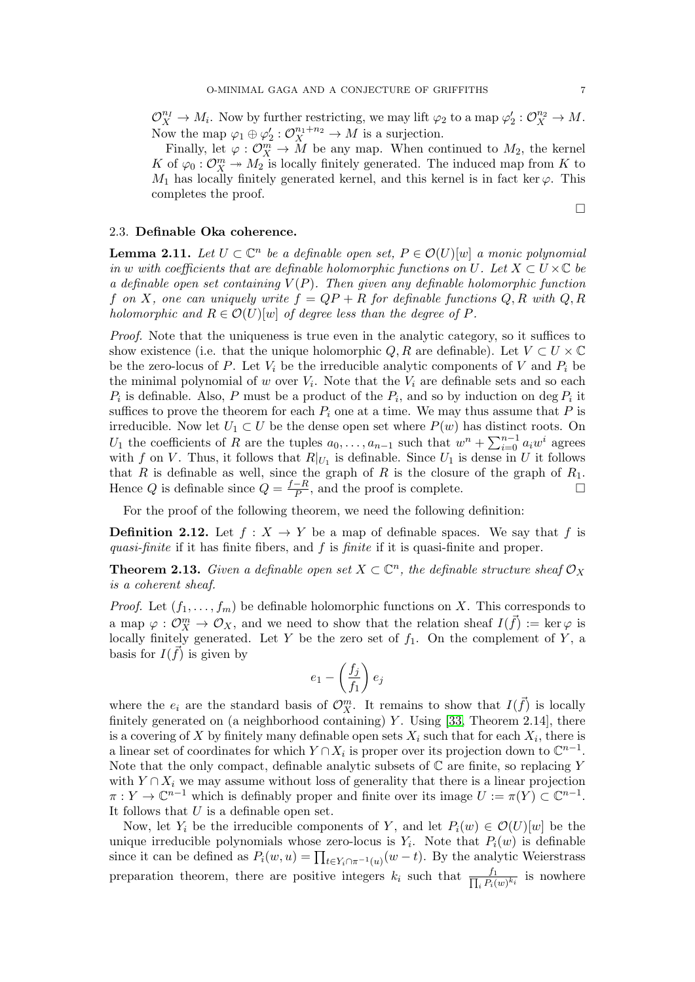$\mathcal{O}_X^{n_I} \to M_i$ . Now by further restricting, we may lift  $\varphi_2$  to a map  $\varphi_2': \mathcal{O}_X^{n_2} \to M$ . Now the map  $\varphi_1 \oplus \varphi_2' : \mathcal{O}_X^{n_1+n_2} \to M$  is a surjection.

Finally, let  $\varphi: \mathcal{O}_{X}^{m} \to \widetilde{M}$  be any map. When continued to  $M_2$ , the kernel K of  $\varphi_0: \mathcal{O}_X^m \to M_2$  is locally finitely generated. The induced map from K to  $M_1$  has locally finitely generated kernel, and this kernel is in fact ker  $\varphi$ . This completes the proof.

## 2.3. Definable Oka coherence.

<span id="page-6-0"></span>**Lemma 2.11.** Let  $U \subset \mathbb{C}^n$  be a definable open set,  $P \in \mathcal{O}(U)[w]$  a monic polynomial in w with coefficients that are definable holomorphic functions on U. Let  $X \subset U \times \mathbb{C}$  be a definable open set containing  $V(P)$ . Then given any definable holomorphic function f on X, one can uniquely write  $f = QP + R$  for definable functions  $Q, R$  with  $Q, R$ holomorphic and  $R \in \mathcal{O}(U)[w]$  of degree less than the degree of P.

Proof. Note that the uniqueness is true even in the analytic category, so it suffices to show existence (i.e. that the unique holomorphic Q, R are definable). Let  $V \subset U \times \mathbb{C}$ be the zero-locus of P. Let  $V_i$  be the irreducible analytic components of V and  $P_i$  be the minimal polynomial of w over  $V_i$ . Note that the  $V_i$  are definable sets and so each  $P_i$  is definable. Also, P must be a product of the  $P_i$ , and so by induction on deg  $P_i$  it suffices to prove the theorem for each  $P_i$  one at a time. We may thus assume that P is irreducible. Now let  $U_1 \subset U$  be the dense open set where  $P(w)$  has distinct roots. On U<sub>1</sub> the coefficients of R are the tuples  $a_0, \ldots, a_{n-1}$  such that  $w^n + \sum_{i=0}^{n-1} a_i w^i$  agrees with f on V. Thus, it follows that  $R|_{U_1}$  is definable. Since  $U_1$  is dense in U it follows that R is definable as well, since the graph of R is the closure of the graph of  $R_1$ . Hence Q is definable since  $Q = \frac{f-R}{P}$  $\frac{-R}{P}$ , and the proof is complete.

For the proof of the following theorem, we need the following definition:

**Definition 2.12.** Let  $f: X \to Y$  be a map of definable spaces. We say that f is quasi-finite if it has finite fibers, and f is finite if it is quasi-finite and proper.

<span id="page-6-1"></span>**Theorem 2.13.** Given a definable open set  $X \subset \mathbb{C}^n$ , the definable structure sheaf  $\mathcal{O}_X$ is a coherent sheaf.

*Proof.* Let  $(f_1, \ldots, f_m)$  be definable holomorphic functions on X. This corresponds to a map  $\varphi : \mathcal{O}_X^m \to \mathcal{O}_X$ , and we need to show that the relation sheaf  $I(\vec{f}) := \ker \varphi$  is locally finitely generated. Let Y be the zero set of  $f_1$ . On the complement of Y, a basis for  $I(\vec{f})$  is given by

$$
e_1 - \left(\frac{f_j}{f_1}\right) e_j
$$

where the  $e_i$  are the standard basis of  $\mathcal{O}_{X}^{m}$ . It remains to show that  $I(\vec{f})$  is locally finitely generated on (a neighborhood containing)  $Y$ . Using [\[33,](#page-31-6) Theorem 2.14], there is a covering of X by finitely many definable open sets  $X_i$  such that for each  $X_i$ , there is a linear set of coordinates for which  $Y \cap X_i$  is proper over its projection down to  $\mathbb{C}^{n-1}$ . Note that the only compact, definable analytic subsets of  $\mathbb C$  are finite, so replacing  $Y$ with  $Y \cap X_i$  we may assume without loss of generality that there is a linear projection  $\pi: Y \to \mathbb{C}^{n-1}$  which is definably proper and finite over its image  $U := \pi(Y) \subset \mathbb{C}^{n-1}$ . It follows that  $U$  is a definable open set.

Now, let Y<sub>i</sub> be the irreducible components of Y, and let  $P_i(w) \in \mathcal{O}(U)[w]$  be the unique irreducible polynomials whose zero-locus is  $Y_i$ . Note that  $P_i(w)$  is definable since it can be defined as  $P_i(w, u) = \prod_{t \in Y_i \cap \pi^{-1}(u)} (w - t)$ . By the analytic Weierstrass preparation theorem, there are positive integers  $k_i$  such that  $\frac{f_1}{\prod_i P_i(k_i)}$  $\frac{J_1}{i P_i(w)^{k_i}}$  is nowhere

 $\Box$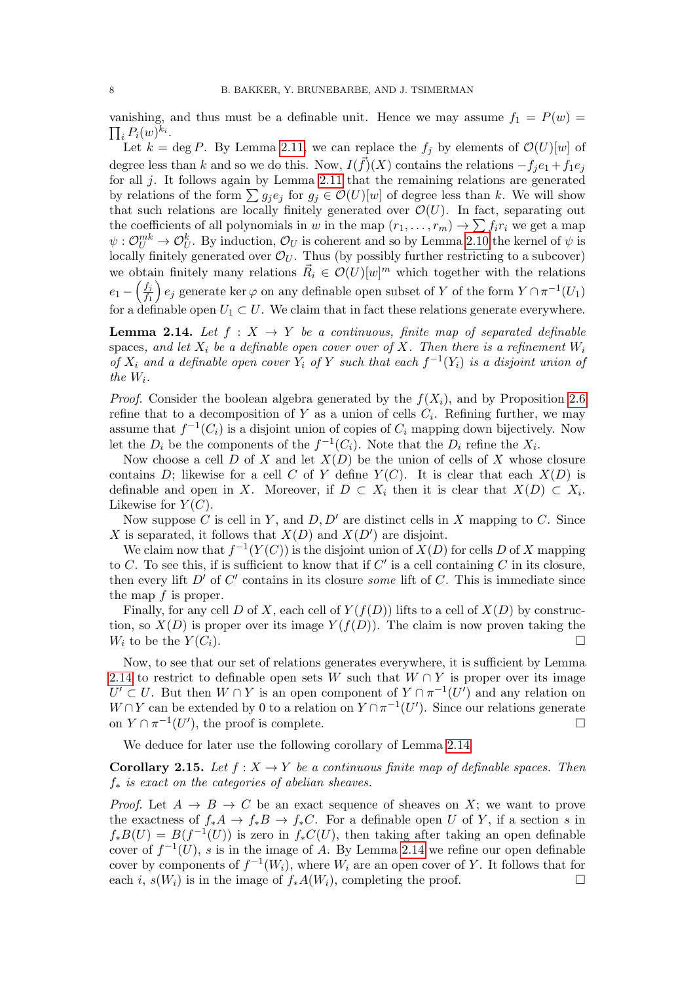vanishing, and thus must be a definable unit. Hence we may assume  $f_1 = P(w)$  $\prod_i P_i(w)^{k_i}.$ 

Let  $k = \deg P$ . By Lemma [2.11,](#page-6-0) we can replace the  $f_j$  by elements of  $\mathcal{O}(U)[w]$  of degree less than k and so we do this. Now,  $I(\vec{f})(X)$  contains the relations  $-f_je_1+f_1e_j$ for all j. It follows again by Lemma [2.11](#page-6-0) that the remaining relations are generated by relations of the form  $\sum g_j e_j$  for  $g_j \in \mathcal{O}(U)[w]$  of degree less than k. We will show that such relations are locally finitely generated over  $\mathcal{O}(U)$ . In fact, separating out the coefficients of all polynomials in w in the map  $(r_1, \ldots, r_m) \to \sum f_i r_i$  we get a map  $\psi: \mathcal{O}_{U}^{mk} \to \mathcal{O}_{U}^{k}$ . By induction,  $\mathcal{O}_{U}$  is coherent and so by Lemma [2.10](#page-5-0) the kernel of  $\psi$  is locally finitely generated over  $\mathcal{O}_U$ . Thus (by possibly further restricting to a subcover) we obtain finitely many relations  $\vec{R}_i \in \mathcal{O}(U)[w]^m$  which together with the relations  $e_1-\left(\frac{f_j}{f_1}\right)$  $\overline{f_1}$  $\Big\} e_j$  generate ker  $\varphi$  on any definable open subset of Y of the form  $Y \cap \pi^{-1}(U_1)$ for a definable open  $U_1 \subset U$ . We claim that in fact these relations generate everywhere.

<span id="page-7-0"></span>**Lemma 2.14.** Let  $f : X \rightarrow Y$  be a continuous, finite map of separated definable spaces, and let  $X_i$  be a definable open cover over of X. Then there is a refinement  $W_i$ of  $X_i$  and a definable open cover  $Y_i$  of Y such that each  $f^{-1}(Y_i)$  is a disjoint union of the  $W_i$ .

*Proof.* Consider the boolean algebra generated by the  $f(X_i)$ , and by Proposition [2.6](#page-4-0) refine that to a decomposition of Y as a union of cells  $C_i$ . Refining further, we may assume that  $f^{-1}(C_i)$  is a disjoint union of copies of  $C_i$  mapping down bijectively. Now let the  $D_i$  be the components of the  $f^{-1}(C_i)$ . Note that the  $D_i$  refine the  $X_i$ .

Now choose a cell  $D$  of  $X$  and let  $X(D)$  be the union of cells of  $X$  whose closure contains D; likewise for a cell C of Y define  $Y(C)$ . It is clear that each  $X(D)$  is definable and open in X. Moreover, if  $D \subset X_i$  then it is clear that  $X(D) \subset X_i$ . Likewise for  $Y(C)$ .

Now suppose C is cell in Y, and D, D' are distinct cells in X mapping to C. Since X is separated, it follows that  $X(D)$  and  $X(D')$  are disjoint.

We claim now that  $f^{-1}(Y(C))$  is the disjoint union of  $X(D)$  for cells D of X mapping to C. To see this, if is sufficient to know that if  $C'$  is a cell containing C in its closure, then every lift  $D'$  of  $C'$  contains in its closure some lift of C. This is immediate since the map f is proper.

Finally, for any cell D of X, each cell of  $Y(f(D))$  lifts to a cell of  $X(D)$  by construction, so  $X(D)$  is proper over its image  $Y(f(D))$ . The claim is now proven taking the  $W_i$  to be the  $Y(C_i)$ .

Now, to see that our set of relations generates everywhere, it is sufficient by Lemma [2.14](#page-7-0) to restrict to definable open sets W such that  $W \cap Y$  is proper over its image  $U' \subset U$ . But then  $W \cap Y$  is an open component of  $Y \cap \pi^{-1}(U')$  and any relation on  $W \cap Y$  can be extended by 0 to a relation on  $Y \cap \pi^{-1}(U')$ . Since our relations generate on  $Y \cap \pi^{-1}(U')$ , the proof is complete.

We deduce for later use the following corollary of Lemma [2.14](#page-7-0)

<span id="page-7-1"></span>**Corollary 2.15.** Let  $f : X \to Y$  be a continuous finite map of definable spaces. Then  $f_*$  is exact on the categories of abelian sheaves.

*Proof.* Let  $A \rightarrow B \rightarrow C$  be an exact sequence of sheaves on X; we want to prove the exactness of  $f_*A \to f_*B \to f_*C$ . For a definable open U of Y, if a section s in  $f_*B(U) = B(f^{-1}(U))$  is zero in  $f_*C(U)$ , then taking after taking an open definable cover of  $f^{-1}(U)$ , s is in the image of A. By Lemma [2.14](#page-7-0) we refine our open definable cover by components of  $f^{-1}(W_i)$ , where  $W_i$  are an open cover of Y. It follows that for each i,  $s(W_i)$  is in the image of  $f_*A(W_i)$ , completing the proof.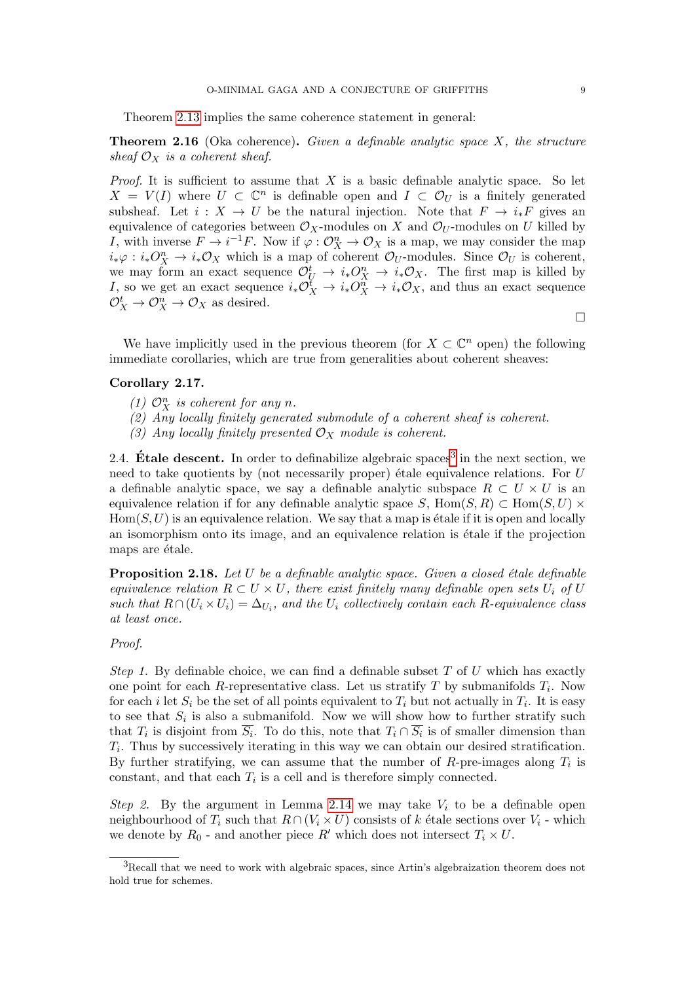Theorem [2.13](#page-6-1) implies the same coherence statement in general:

**Theorem 2.16** (Oka coherence). Given a definable analytic space  $X$ , the structure sheaf  $\mathcal{O}_X$  is a coherent sheaf.

*Proof.* It is sufficient to assume that  $X$  is a basic definable analytic space. So let  $X = V(I)$  where  $U \subset \mathbb{C}^n$  is definable open and  $I \subset \mathcal{O}_U$  is a finitely generated subsheaf. Let  $i : X \to U$  be the natural injection. Note that  $F \to i_*F$  gives an equivalence of categories between  $\mathcal{O}_X$ -modules on X and  $\mathcal{O}_U$ -modules on U killed by I, with inverse  $F \to i^{-1}F$ . Now if  $\varphi : \mathcal{O}_X^n \to \mathcal{O}_X$  is a map, we may consider the map  $i_*\varphi : i_*\mathcal{O}_X^n \to i_*\mathcal{O}_X$  which is a map of coherent  $\mathcal{O}_U$ -modules. Since  $\mathcal{O}_U$  is coherent, we may form an exact sequence  $\mathcal{O}_U^t \to i_* \mathcal{O}_X^n \to i_* \mathcal{O}_X$ . The first map is killed by I, so we get an exact sequence  $i_*\mathcal{O}_X^{\tilde{t}} \to i_*\mathcal{O}_X^{\tilde{n}} \to i_*\mathcal{O}_X$ , and thus an exact sequence  $\mathcal{O}_X^t \to \mathcal{O}_X^n \to \mathcal{O}_X$  as desired.

 $\Box$ 

We have implicitly used in the previous theorem (for  $X \subset \mathbb{C}^n$  open) the following immediate corollaries, which are true from generalities about coherent sheaves:

### Corollary 2.17.

- (1)  $\mathcal{O}_X^n$  is coherent for any n.
- (2) Any locally finitely generated submodule of a coherent sheaf is coherent.
- (3) Any locally finitely presented  $\mathcal{O}_X$  module is coherent.

2.4. **Étale descent.** In order to definabilize algebraic spaces<sup>[3](#page-8-0)</sup> in the next section, we need to take quotients by (not necessarily proper) étale equivalence relations. For  $U$ a definable analytic space, we say a definable analytic subspace  $R \subset U \times U$  is an equivalence relation if for any definable analytic space S, Hom(S, R) ⊂ Hom(S, U)  $\times$  $Hom(S, U)$  is an equivalence relation. We say that a map is étale if it is open and locally an isomorphism onto its image, and an equivalence relation is étale if the projection maps are étale.

<span id="page-8-1"></span>**Proposition 2.18.** Let  $U$  be a definable analytic space. Given a closed étale definable equivalence relation  $R \subset U \times U$ , there exist finitely many definable open sets  $U_i$  of U such that  $R \cap (U_i \times U_i) = \Delta_{U_i}$ , and the  $U_i$  collectively contain each R-equivalence class at least once.

#### Proof.

Step 1. By definable choice, we can find a definable subset  $T$  of  $U$  which has exactly one point for each R-representative class. Let us stratify T by submanifolds  $T_i$ . Now for each *i* let  $S_i$  be the set of all points equivalent to  $T_i$  but not actually in  $T_i$ . It is easy to see that  $S_i$  is also a submanifold. Now we will show how to further stratify such that  $T_i$  is disjoint from  $\overline{S_i}$ . To do this, note that  $T_i \cap \overline{S_i}$  is of smaller dimension than  $T_i$ . Thus by successively iterating in this way we can obtain our desired stratification. By further stratifying, we can assume that the number of  $R$ -pre-images along  $T_i$  is constant, and that each  $T_i$  is a cell and is therefore simply connected.

Step 2. By the argument in Lemma [2.14](#page-7-0) we may take  $V_i$  to be a definable open neighbourhood of  $T_i$  such that  $R \cap (V_i \times U)$  consists of k étale sections over  $V_i$  - which we denote by  $R_0$  - and another piece R' which does not intersect  $T_i \times U$ .

<span id="page-8-0"></span><sup>3</sup>Recall that we need to work with algebraic spaces, since Artin's algebraization theorem does not hold true for schemes.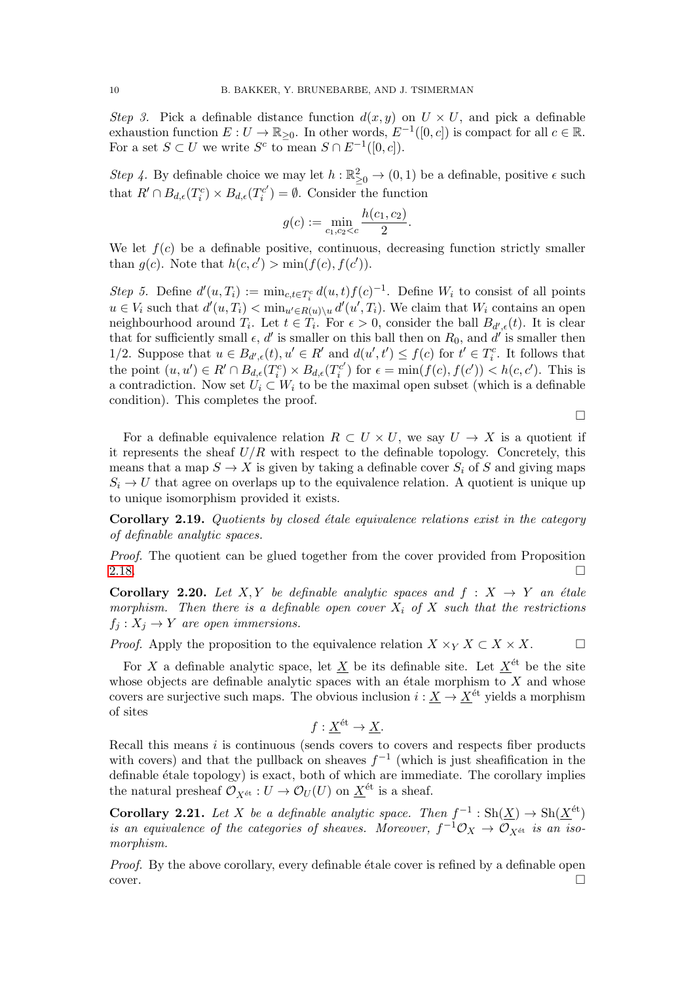Step 3. Pick a definable distance function  $d(x, y)$  on  $U \times U$ , and pick a definable exhaustion function  $E: U \to \mathbb{R}_{\geq 0}$ . In other words,  $E^{-1}([0, c])$  is compact for all  $c \in \mathbb{R}$ . For a set  $S \subset U$  we write  $S^c$  to mean  $S \cap E^{-1}([0, c])$ .

Step 4. By definable choice we may let  $h : \mathbb{R}^2_{\geq 0} \to (0, 1)$  be a definable, positive  $\epsilon$  such that  $R' \cap B_{d,\epsilon}(T_i^c) \times B_{d,\epsilon}(T_i^{c'})$  $\mathcal{C}'_i$  =  $\emptyset$ . Consider the function

$$
g(c) := \min_{c_1, c_2 < c} \frac{h(c_1, c_2)}{2}.
$$

We let  $f(c)$  be a definable positive, continuous, decreasing function strictly smaller than  $g(c)$ . Note that  $h(c, c') > \min(f(c), f(c'))$ .

Step 5. Define  $d'(u,T_i) := \min_{c,t \in T_i^c} d(u,t) f(c)^{-1}$ . Define  $W_i$  to consist of all points  $u \in V_i$  such that  $d'(u, T_i) < \min_{u' \in R(u) \setminus u} d'(u', T_i)$ . We claim that  $W_i$  contains an open neighbourhood around  $T_i$ . Let  $t \in T_i$ . For  $\epsilon > 0$ , consider the ball  $B_{d',\epsilon}(t)$ . It is clear that for sufficiently small  $\epsilon$ , d' is smaller on this ball then on  $R_0$ , and d' is smaller then 1/2. Suppose that  $u \in B_{d',\epsilon}(t), u' \in R'$  and  $d(u',t') \le f(c)$  for  $t' \in T_i^c$ . It follows that the point  $(u, u') \in R' \cap B_{d,\epsilon}(T_i^c) \times B_{d,\epsilon}(T_i^{c'})$  $\sum_{i}^{c'}$ ) for  $\epsilon = \min(f(c), f(c')) < h(c, c')$ . This is a contradiction. Now set  $U_i \subset W_i$  to be the maximal open subset (which is a definable condition). This completes the proof.

 $\Box$ 

For a definable equivalence relation  $R \subset U \times U$ , we say  $U \to X$  is a quotient if it represents the sheaf  $U/R$  with respect to the definable topology. Concretely, this means that a map  $S \to X$  is given by taking a definable cover  $S_i$  of S and giving maps  $S_i \rightarrow U$  that agree on overlaps up to the equivalence relation. A quotient is unique up to unique isomorphism provided it exists.

<span id="page-9-0"></span>Corollary 2.19. Quotients by closed étale equivalence relations exist in the category of definable analytic spaces.

Proof. The quotient can be glued together from the cover provided from Proposition [2.18.](#page-8-1)

**Corollary 2.20.** Let X, Y be definable analytic spaces and  $f : X \rightarrow Y$  an étale morphism. Then there is a definable open cover  $X_i$  of X such that the restrictions  $f_i: X_i \to Y$  are open immersions.

*Proof.* Apply the proposition to the equivalence relation  $X \times_Y X \subset X \times X$ .  $\Box$ 

For X a definable analytic space, let X be its definable site. Let  $X^{\text{\'et}}$  be the site whose objects are definable analytic spaces with an étale morphism to  $\overline{X}$  and whose covers are surjective such maps. The obvious inclusion  $i : X \to X^{\text{\'et}}$  yields a morphism of sites

$$
f: \underline{X}^{\text{\'et}} \to \underline{X}.
$$

Recall this means  $i$  is continuous (sends covers to covers and respects fiber products with covers) and that the pullback on sheaves  $f^{-1}$  (which is just sheafification in the definable étale topology) is exact, both of which are immediate. The corollary implies the natural presheaf  $\mathcal{O}_{X^{\text{\'et}}} : U \to \mathcal{O}_U (U)$  on  $\underline{X}^{\text{\'et}}$  is a sheaf.

<span id="page-9-1"></span>**Corollary 2.21.** Let X be a definable analytic space. Then  $f^{-1}: \text{Sh}(\underline{X}) \to \text{Sh}(\underline{X}^{\text{\'et}})$ is an equivalence of the categories of sheaves. Moreover,  $f^{-1}\mathcal{O}_X \to \mathcal{O}_{X^{\text{\'et}}}$  is an isomorphism.

Proof. By the above corollary, every definable étale cover is refined by a definable open cover.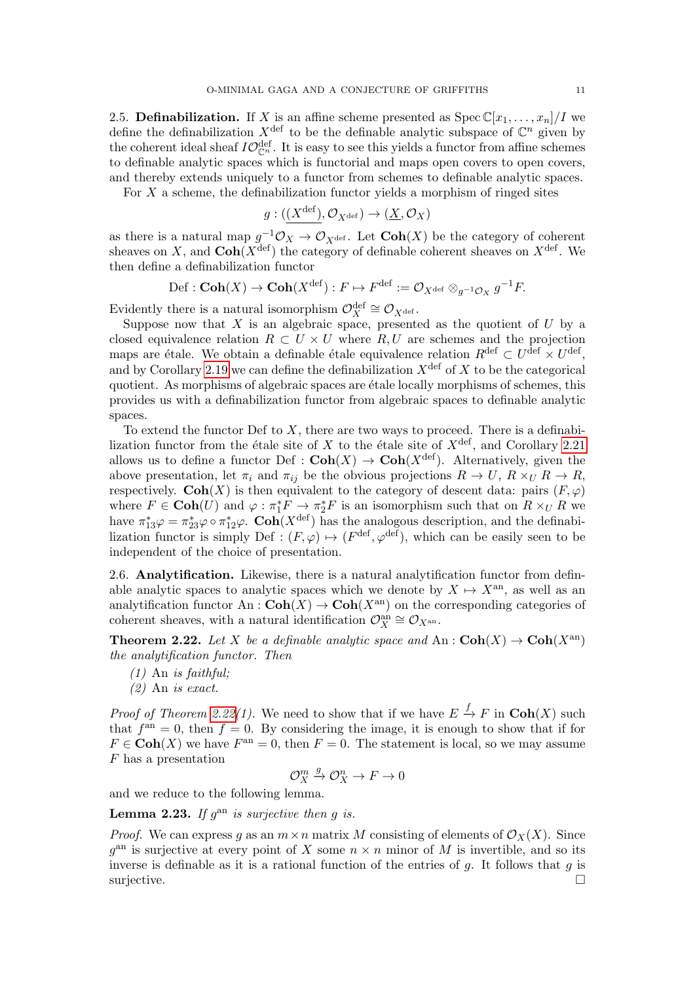2.5. Definabilization. If X is an affine scheme presented as  $Spec \mathbb{C}[x_1, \ldots, x_n]/I$  we define the definabilization  $X^{\text{def}}$  to be the definable analytic subspace of  $\mathbb{C}^n$  given by the coherent ideal sheaf  $IO_{\mathbb{C}^n}^{\text{def}}$ . It is easy to see this yields a functor from affine schemes to definable analytic spaces which is functorial and maps open covers to open covers, and thereby extends uniquely to a functor from schemes to definable analytic spaces.

For  $X$  a scheme, the definabilization functor yields a morphism of ringed sites

$$
g: (\underline{(X^{\mathrm{def}})}, \mathcal{O}_{X^{\mathrm{def}}}) \to (\underline{X}, \mathcal{O}_X)
$$

as there is a natural map  $g^{-1}\mathcal{O}_X \to \mathcal{O}_{X^{\text{def}}}$ . Let  $\text{Coh}(X)$  be the category of coherent sheaves on X, and  $\text{Coh}(X^{\text{def}})$  the category of definable coherent sheaves on  $X^{\text{def}}$ . We then define a definabilization functor

$$
\mathrm{Def}: \mathbf{Coh}(X) \to \mathbf{Coh}(X^{\mathrm{def}}): F \mapsto F^{\mathrm{def}} := \mathcal{O}_{X^{\mathrm{def}}} \otimes_{g^{-1}\mathcal{O}_X} g^{-1}F.
$$

Evidently there is a natural isomorphism  $\mathcal{O}_X^{\text{def}} \cong \mathcal{O}_{X^{\text{def}}}$ .

Suppose now that  $X$  is an algebraic space, presented as the quotient of  $U$  by a closed equivalence relation  $R \subset U \times U$  where  $R, U$  are schemes and the projection maps are étale. We obtain a definable étale equivalence relation  $R^{\text{def}} \subset U^{\text{def}} \times U^{\text{def}}$ , and by Corollary [2.19](#page-9-0) we can define the definabilization  $X^{\text{def}}$  of X to be the categorical quotient. As morphisms of algebraic spaces are étale locally morphisms of schemes, this provides us with a definabilization functor from algebraic spaces to definable analytic spaces.

To extend the functor Def to  $X$ , there are two ways to proceed. There is a definabilization functor from the étale site of X to the étale site of  $X^{\text{def}}$ , and Corollary [2.21](#page-9-1) allows us to define a functor Def :  $\text{Coh}(X) \to \text{Coh}(X^{\text{def}})$ . Alternatively, given the above presentation, let  $\pi_i$  and  $\pi_{ij}$  be the obvious projections  $R \to U$ ,  $R \times_U R \to R$ , respectively. Coh(X) is then equivalent to the category of descent data: pairs  $(F, \varphi)$ where  $F \in \text{Coh}(U)$  and  $\varphi : \pi_1^* F \to \pi_2^* F$  is an isomorphism such that on  $R \times_U R$  we have  $\pi_{13}^*\varphi = \pi_{23}^*\varphi \circ \pi_{12}^*\varphi$ . Coh( $X^{\text{def}}$ ) has the analogous description, and the definabilization functor is simply Def :  $(F, \varphi) \mapsto (F^{\text{def}}, \varphi^{\text{def}})$ , which can be easily seen to be independent of the choice of presentation.

2.6. Analytification. Likewise, there is a natural analytification functor from definable analytic spaces to analytic spaces which we denote by  $X \mapsto X^{an}$ , as well as an analytification functor An :  $\text{Coh}(X) \to \text{Coh}(X^{\text{an}})$  on the corresponding categories of coherent sheaves, with a natural identification  $\mathcal{O}_X^{\text{an}} \cong \mathcal{O}_{X^{\text{an}}}$ .

<span id="page-10-0"></span>**Theorem 2.22.** Let X be a definable analytic space and An :  $\text{Coh}(X) \to \text{Coh}(X^{\text{an}})$ the analytification functor. Then

 $(1)$  An is faithful;

(2) An is exact.

*Proof of Theorem [2.22\(](#page-10-0)1).* We need to show that if we have  $E \stackrel{f}{\to} F$  in  $\text{Coh}(X)$  such that  $f<sup>an</sup> = 0$ , then  $f = 0$ . By considering the image, it is enough to show that if for  $F \in \text{Coh}(X)$  we have  $F^{\text{an}} = 0$ , then  $F = 0$ . The statement is local, so we may assume F has a presentation

$$
\mathcal{O}_X^m \xrightarrow{g} \mathcal{O}_X^n \to F \to 0
$$

and we reduce to the following lemma.

**Lemma 2.23.** If  $g^{an}$  is surjective then g is.

*Proof.* We can express g as an  $m \times n$  matrix M consisting of elements of  $\mathcal{O}_X(X)$ . Since  $g^{\text{an}}$  is surjective at every point of X some  $n \times n$  minor of M is invertible, and so its inverse is definable as it is a rational function of the entries of  $g$ . It follows that  $g$  is surjective.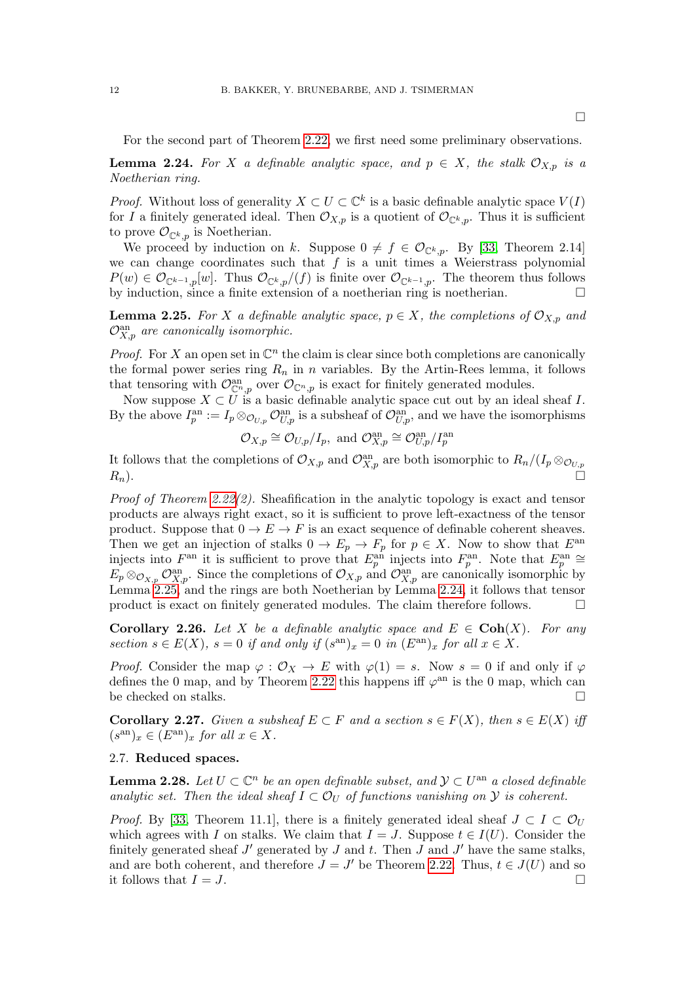For the second part of Theorem [2.22,](#page-10-0) we first need some preliminary observations.

<span id="page-11-1"></span>**Lemma 2.24.** For X a definable analytic space, and  $p \in X$ , the stalk  $\mathcal{O}_{X,p}$  is a Noetherian ring.

*Proof.* Without loss of generality  $X \subset U \subset \mathbb{C}^k$  is a basic definable analytic space  $V(I)$ for I a finitely generated ideal. Then  $\mathcal{O}_{X,p}$  is a quotient of  $\mathcal{O}_{\mathbb{C}^k,p}$ . Thus it is sufficient to prove  $\mathcal{O}_{\mathbb{C}^k,p}$  is Noetherian.

We proceed by induction on k. Suppose  $0 \neq f \in \mathcal{O}_{\mathbb{C}^k,p}$ . By [\[33,](#page-31-6) Theorem 2.14] we can change coordinates such that  $f$  is a unit times a Weierstrass polynomial  $P(w) \in \mathcal{O}_{\mathbb{C}^{k-1},p}[w]$ . Thus  $\mathcal{O}_{\mathbb{C}^k,p}/(f)$  is finite over  $\mathcal{O}_{\mathbb{C}^{k-1},p}$ . The theorem thus follows by induction, since a finite extension of a noetherian ring is noetherian.  $\Box$ 

<span id="page-11-0"></span>**Lemma 2.25.** For X a definable analytic space,  $p \in X$ , the completions of  $\mathcal{O}_{X,p}$  and  $\mathcal{O}_{X,p}^{\text{an}}$  are canonically isomorphic.

*Proof.* For X an open set in  $\mathbb{C}^n$  the claim is clear since both completions are canonically the formal power series ring  $R_n$  in n variables. By the Artin-Rees lemma, it follows that tensoring with  $\mathcal{O}_{\mathbb{C}^n,p}^{\text{an}}$  over  $\mathcal{O}_{\mathbb{C}^n,p}$  is exact for finitely generated modules.

Now suppose  $X \subset U$  is a basic definable analytic space cut out by an ideal sheaf I. By the above  $I_p^{\text{an}} := I_p \otimes_{\mathcal{O}_{U,p}} \mathcal{O}_{U,p}^{\text{an}}$  is a subsheaf of  $\mathcal{O}_{U,p}^{\text{an}}$ , and we have the isomorphisms

$$
\mathcal{O}_{X,p} \cong \mathcal{O}_{U,p}/I_p
$$
, and  $\mathcal{O}_{X,p}^{\text{an}} \cong \mathcal{O}_{U,p}^{\text{an}}/I_p^{\text{an}}$ 

It follows that the completions of  $\mathcal{O}_{X,p}$  and  $\mathcal{O}_{X,p}^{an}$  are both isomorphic to  $R_n/(I_p \otimes_{\mathcal{O}_{U,p}})$  $R_n$ ).

*Proof of Theorem [2.22\(](#page-10-0)2).* Sheafification in the analytic topology is exact and tensor products are always right exact, so it is sufficient to prove left-exactness of the tensor product. Suppose that  $0 \to E \to F$  is an exact sequence of definable coherent sheaves. Then we get an injection of stalks  $0 \to E_p \to F_p$  for  $p \in X$ . Now to show that  $E^{\text{an}}$ injects into  $F^{\text{an}}$  it is sufficient to prove that  $E_p^{\text{an}}$  injects into  $F_p^{\text{an}}$ . Note that  $E_p^{\text{an}} \cong$  $E_p \otimes_{\mathcal{O}_{X,p}} \mathcal{O}_{X,p}^{\text{an}}$ . Since the completions of  $\mathcal{O}_{X,p}$  and  $\mathcal{O}_{X,p}^{\text{an}}$  are canonically isomorphic by Lemma [2.25,](#page-11-0) and the rings are both Noetherian by Lemma [2.24,](#page-11-1) it follows that tensor product is exact on finitely generated modules. The claim therefore follows.  $\Box$ 

**Corollary 2.26.** Let X be a definable analytic space and  $E \in \text{Coh}(X)$ . For any section  $s \in E(X)$ ,  $s = 0$  if and only if  $(s<sup>an</sup>)<sub>x</sub> = 0$  in  $(E<sup>an</sup>)<sub>x</sub>$  for all  $x \in X$ .

*Proof.* Consider the map  $\varphi : \mathcal{O}_X \to E$  with  $\varphi(1) = s$ . Now  $s = 0$  if and only if  $\varphi$ defines the 0 map, and by Theorem [2.22](#page-10-0) this happens iff  $\varphi^{an}$  is the 0 map, which can be checked on stalks.

<span id="page-11-2"></span>**Corollary 2.27.** Given a subsheaf  $E \subset F$  and a section  $s \in F(X)$ , then  $s \in E(X)$  iff  $(s<sup>an</sup>)<sub>x</sub> \in (E<sup>an</sup>)<sub>x</sub>$  for all  $x \in X$ .

## 2.7. Reduced spaces.

<span id="page-11-3"></span>**Lemma 2.28.** Let  $U \subset \mathbb{C}^n$  be an open definable subset, and  $\mathcal{Y} \subset U^{\text{an}}$  a closed definable analytic set. Then the ideal sheaf  $I \subset \mathcal{O}_U$  of functions vanishing on  $\mathcal Y$  is coherent.

*Proof.* By [\[33,](#page-31-6) Theorem 11.1], there is a finitely generated ideal sheaf  $J \subset I \subset \mathcal{O}_U$ which agrees with I on stalks. We claim that  $I = J$ . Suppose  $t \in I(U)$ . Consider the finitely generated sheaf  $J'$  generated by  $J$  and  $t$ . Then  $J$  and  $J'$  have the same stalks, and are both coherent, and therefore  $J = J'$  be Theorem [2.22.](#page-10-0) Thus,  $t \in J(U)$  and so it follows that  $I = J$ .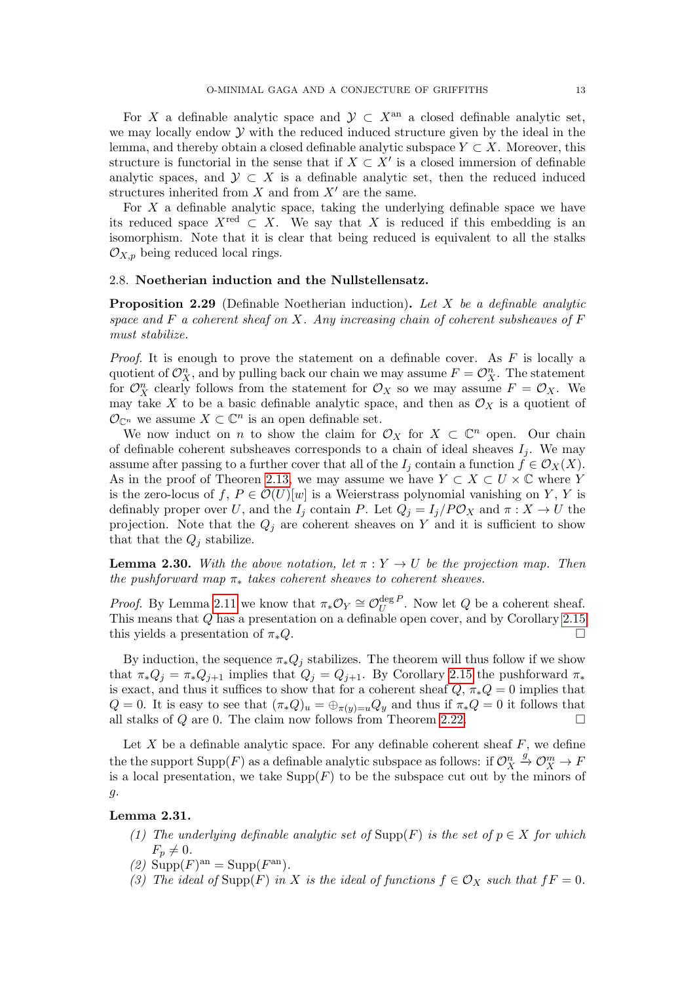For X a definable analytic space and  $\mathcal{Y} \subset X^{\text{an}}$  a closed definable analytic set, we may locally endow  $\mathcal Y$  with the reduced induced structure given by the ideal in the lemma, and thereby obtain a closed definable analytic subspace  $Y \subset X$ . Moreover, this structure is functorial in the sense that if  $X \subset X'$  is a closed immersion of definable analytic spaces, and  $\mathcal{Y} \subset X$  is a definable analytic set, then the reduced induced structures inherited from  $X$  and from  $X'$  are the same.

For  $X$  a definable analytic space, taking the underlying definable space we have its reduced space  $X^{\text{red}} \subset X$ . We say that X is reduced if this embedding is an isomorphism. Note that it is clear that being reduced is equivalent to all the stalks  $\mathcal{O}_{X,p}$  being reduced local rings.

### 2.8. Noetherian induction and the Nullstellensatz.

**Proposition 2.29** (Definable Noetherian induction). Let X be a definable analytic space and  $F$  a coherent sheaf on X. Any increasing chain of coherent subsheaves of  $F$ must stabilize.

*Proof.* It is enough to prove the statement on a definable cover. As  $F$  is locally a quotient of  $\mathcal{O}_X^n$ , and by pulling back our chain we may assume  $F = \mathcal{O}_X^n$ . The statement for  $\mathcal{O}_X^n$  clearly follows from the statement for  $\mathcal{O}_X$  so we may assume  $F = \mathcal{O}_X$ . We may take X to be a basic definable analytic space, and then as  $\mathcal{O}_X$  is a quotient of  $\mathcal{O}_{\mathbb{C}^n}$  we assume  $X \subset \mathbb{C}^n$  is an open definable set.

We now induct on *n* to show the claim for  $\mathcal{O}_X$  for  $X \subset \mathbb{C}^n$  open. Our chain of definable coherent subsheaves corresponds to a chain of ideal sheaves  $I_i$ . We may assume after passing to a further cover that all of the  $I_j$  contain a function  $f \in \mathcal{O}_X(X)$ . As in the proof of Theoren [2.13,](#page-6-1) we may assume we have  $Y \subset X \subset U \times \mathbb{C}$  where Y is the zero-locus of f,  $P \in \mathcal{O}(U)[w]$  is a Weierstrass polynomial vanishing on Y, Y is definably proper over U, and the I<sub>j</sub> contain P. Let  $Q_j = I_j/P\mathcal{O}_X$  and  $\pi : X \to U$  the projection. Note that the  $Q_j$  are coherent sheaves on Y and it is sufficient to show that that the  $Q_j$  stabilize.

**Lemma 2.30.** With the above notation, let  $\pi : Y \to U$  be the projection map. Then the pushforward map  $\pi_*$  takes coherent sheaves to coherent sheaves.

*Proof.* By Lemma [2.11](#page-6-0) we know that  $\pi_* \mathcal{O}_Y \cong \mathcal{O}_U^{\deg P}$  $U^{deg P}$ . Now let Q be a coherent sheaf. This means that Q has a presentation on a definable open cover, and by Corollary [2.15](#page-7-1) this yields a presentation of  $\pi_*Q$ .

By induction, the sequence  $\pi_* Q_i$  stabilizes. The theorem will thus follow if we show that  $\pi_*Q_j = \pi_*Q_{j+1}$  implies that  $Q_j = Q_{j+1}$ . By Corollary [2.15](#page-7-1) the pushforward  $\pi_*$ is exact, and thus it suffices to show that for a coherent sheaf  $Q, \pi_*Q = 0$  implies that  $Q = 0$ . It is easy to see that  $(\pi_* Q)_u = \bigoplus_{\pi(y)=u} Q_y$  and thus if  $\pi_* Q = 0$  it follows that all stalks of Q are 0. The claim now follows from Theorem [2.22.](#page-10-0)

Let  $X$  be a definable analytic space. For any definable coherent sheaf  $F$ , we define the the support  $\mathrm{Supp}(F)$  as a definable analytic subspace as follows: if  $\mathcal{O}_X^n$  $\stackrel{g}{\to} \mathcal{O}_X^m \to F$ is a local presentation, we take  $\text{Supp}(F)$  to be the subspace cut out by the minors of g.

## Lemma 2.31.

- (1) The underlying definable analytic set of  $\text{Supp}(F)$  is the set of  $p \in X$  for which  $F_n \neq 0$ .
- (2)  $\text{Supp}(F)^{\text{an}} = \text{Supp}(F^{\text{an}})$ .
- (3) The ideal of Supp(F) in X is the ideal of functions  $f \in \mathcal{O}_X$  such that  $fF = 0$ .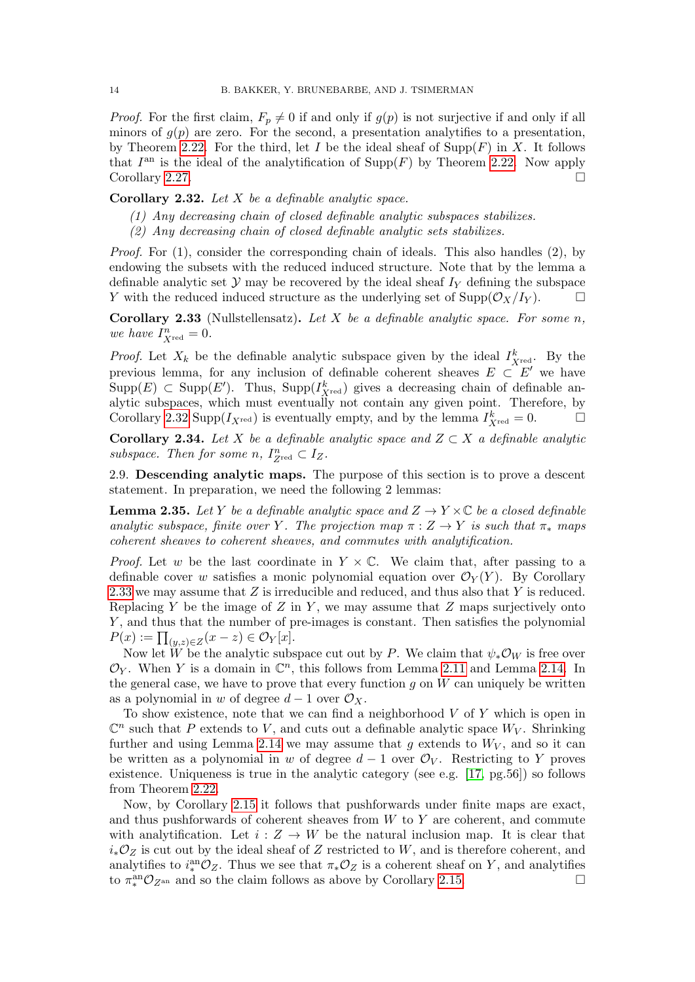*Proof.* For the first claim,  $F_p \neq 0$  if and only if  $g(p)$  is not surjective if and only if all minors of  $g(p)$  are zero. For the second, a presentation analytifies to a presentation, by Theorem [2.22.](#page-10-0) For the third, let I be the ideal sheaf of  $\text{Supp}(F)$  in X. It follows that  $I<sup>an</sup>$  is the ideal of the analytification of Supp(F) by Theorem [2.22.](#page-10-0) Now apply Corollary [2.27.](#page-11-2)

<span id="page-13-0"></span>**Corollary 2.32.** Let  $X$  be a definable analytic space.

- (1) Any decreasing chain of closed definable analytic subspaces stabilizes.
- (2) Any decreasing chain of closed definable analytic sets stabilizes.

Proof. For (1), consider the corresponding chain of ideals. This also handles (2), by endowing the subsets with the reduced induced structure. Note that by the lemma a definable analytic set  $Y$  may be recovered by the ideal sheaf  $I<sub>Y</sub>$  defining the subspace Y with the reduced induced structure as the underlying set of  $\text{Supp}(\mathcal{O}_X/I_Y)$ .

<span id="page-13-1"></span>Corollary 2.33 (Nullstellensatz). Let  $X$  be a definable analytic space. For some n, we have  $I_{X^{\text{red}}}^n = 0$ .

*Proof.* Let  $X_k$  be the definable analytic subspace given by the ideal  $I_{X_{\text{red}}}^k$ . By the previous lemma, for any inclusion of definable coherent sheaves  $E \subset E'$  we have  $\text{Supp}(E) \subset \text{Supp}(E')$ . Thus,  $\text{Supp}(I_{X^{\text{red}}}^k)$  gives a decreasing chain of definable analytic subspaces, which must eventually not contain any given point. Therefore, by Corollary [2.32](#page-13-0) Supp $(I_{X^{\text{red}}} )$  is eventually empty, and by the lemma  $I_{X^{\text{red}}}^k = 0$ .

Corollary 2.34. Let X be a definable analytic space and  $Z \subset X$  a definable analytic subspace. Then for some n,  $I_{Z^{\text{red}}}^n \subset I_Z$ .

2.9. Descending analytic maps. The purpose of this section is to prove a descent statement. In preparation, we need the following 2 lemmas:

<span id="page-13-2"></span>**Lemma 2.35.** Let Y be a definable analytic space and  $Z \rightarrow Y \times \mathbb{C}$  be a closed definable analytic subspace, finite over Y. The projection map  $\pi: Z \to Y$  is such that  $\pi_*$  maps coherent sheaves to coherent sheaves, and commutes with analytification.

*Proof.* Let w be the last coordinate in  $Y \times \mathbb{C}$ . We claim that, after passing to a definable cover w satisfies a monic polynomial equation over  $\mathcal{O}_Y(Y)$ . By Corollary [2.33](#page-13-1) we may assume that Z is irreducible and reduced, and thus also that Y is reduced. Replacing Y be the image of  $Z$  in  $Y$ , we may assume that  $Z$  maps surjectively onto Y, and thus that the number of pre-images is constant. Then satisfies the polynomial  $P(x) := \prod_{(y,z)\in Z} (x-z) \in \mathcal{O}_Y[x].$ 

Now let W be the analytic subspace cut out by P. We claim that  $\psi_*\mathcal{O}_W$  is free over  $\mathcal{O}_Y$ . When Y is a domain in  $\mathbb{C}^n$ , this follows from Lemma [2.11](#page-6-0) and Lemma [2.14.](#page-7-0) In the general case, we have to prove that every function  $q$  on  $W$  can uniquely be written as a polynomial in w of degree  $d-1$  over  $\mathcal{O}_X$ .

To show existence, note that we can find a neighborhood  $V$  of  $Y$  which is open in  $\mathbb{C}^n$  such that P extends to V, and cuts out a definable analytic space  $W_V$ . Shrinking further and using Lemma [2.14](#page-7-0) we may assume that g extends to  $W_V$ , and so it can be written as a polynomial in w of degree  $d-1$  over  $\mathcal{O}_V$ . Restricting to Y proves existence. Uniqueness is true in the analytic category (see e.g. [\[17,](#page-30-12) pg.56]) so follows from Theorem [2.22.](#page-10-0)

Now, by Corollary [2.15](#page-7-1) it follows that pushforwards under finite maps are exact, and thus pushforwards of coherent sheaves from  $W$  to  $Y$  are coherent, and commute with analytification. Let  $i: Z \to W$  be the natural inclusion map. It is clear that  $i_*\mathcal{O}_Z$  is cut out by the ideal sheaf of Z restricted to W, and is therefore coherent, and analytifies to  $i_*^{\text{an}}\mathcal{O}_Z$ . Thus we see that  $\pi_*\mathcal{O}_Z$  is a coherent sheaf on Y, and analytifies to  $\pi_*^{\text{an}} \mathcal{O}_{Z^{\text{an}}}$  and so the claim follows as above by Corollary [2.15.](#page-7-1)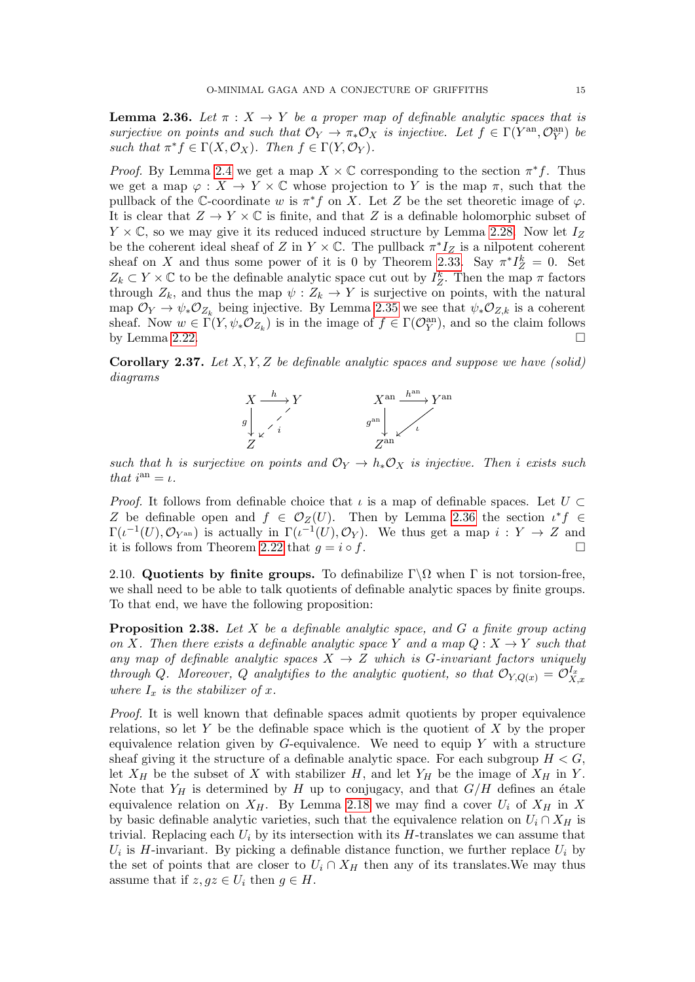<span id="page-14-0"></span>**Lemma 2.36.** Let  $\pi : X \to Y$  be a proper map of definable analytic spaces that is surjective on points and such that  $\mathcal{O}_Y \to \pi_* \mathcal{O}_X$  is injective. Let  $f \in \Gamma(Y^{\text{an}}, \mathcal{O}_Y^{\text{an}})$  be such that  $\pi^* f \in \Gamma(X, \mathcal{O}_X)$ . Then  $f \in \Gamma(Y, \mathcal{O}_Y)$ .

*Proof.* By Lemma [2.4](#page-4-1) we get a map  $X \times \mathbb{C}$  corresponding to the section  $\pi^* f$ . Thus we get a map  $\varphi: X \to Y \times \mathbb{C}$  whose projection to Y is the map  $\pi$ , such that the pullback of the C-coordinate w is  $\pi^* f$  on X. Let Z be the set theoretic image of  $\varphi$ . It is clear that  $Z \to Y \times \mathbb{C}$  is finite, and that Z is a definable holomorphic subset of  $Y \times \mathbb{C}$ , so we may give it its reduced induced structure by Lemma [2.28.](#page-11-3) Now let  $I_Z$ be the coherent ideal sheaf of Z in  $Y \times \mathbb{C}$ . The pullback  $\pi^* I_Z$  is a nilpotent coherent sheaf on X and thus some power of it is 0 by Theorem [2.33.](#page-13-1) Say  $\pi^* I_Z^k = 0$ . Set  $Z_k \subset Y \times \mathbb{C}$  to be the definable analytic space cut out by  $I_Z^k$ . Then the map  $\pi$  factors through  $Z_k$ , and thus the map  $\psi : Z_k \to Y$  is surjective on points, with the natural map  $\mathcal{O}_Y \to \psi_* \mathcal{O}_{Z_k}$  being injective. By Lemma [2.35](#page-13-2) we see that  $\psi_* \mathcal{O}_{Z,k}$  is a coherent sheaf. Now  $w \in \Gamma(Y, \psi_* \mathcal{O}_{Z_k})$  is in the image of  $f \in \Gamma(\mathcal{O}_Y^{\text{an}})$ , and so the claim follows by Lemma [2.22.](#page-10-0)

<span id="page-14-1"></span>**Corollary 2.37.** Let  $X, Y, Z$  be definable analytic spaces and suppose we have (solid) diagrams



such that h is surjective on points and  $\mathcal{O}_Y \to h_* \mathcal{O}_X$  is injective. Then i exists such that  $i^{an} = \iota$ .

*Proof.* It follows from definable choice that  $\iota$  is a map of definable spaces. Let  $U \subset$ Z be definable open and  $f \in \mathcal{O}_Z(U)$ . Then by Lemma [2.36](#page-14-0) the section  $\iota^* f \in$  $\Gamma(\iota^{-1}(U), \mathcal{O}_{Y^{\mathrm{an}}})$  is actually in  $\Gamma(\iota^{-1}(U), \mathcal{O}_Y)$ . We thus get a map  $i: Y \to Z$  and it is follows from Theorem [2.22](#page-10-0) that  $g = i \circ f$ .

2.10. Quotients by finite groups. To definabilize  $\Gamma \backslash \Omega$  when Γ is not torsion-free, we shall need to be able to talk quotients of definable analytic spaces by finite groups. To that end, we have the following proposition:

<span id="page-14-2"></span>**Proposition 2.38.** Let X be a definable analytic space, and G a finite group acting on X. Then there exists a definable analytic space Y and a map  $Q: X \rightarrow Y$  such that any map of definable analytic spaces  $X \to Z$  which is G-invariant factors uniquely through Q. Moreover, Q analytifies to the analytic quotient, so that  $\mathcal{O}_{Y,Q(x)} = \mathcal{O}_{X,x}^{I_x}$ where  $I_x$  is the stabilizer of x.

Proof. It is well known that definable spaces admit quotients by proper equivalence relations, so let Y be the definable space which is the quotient of X by the proper equivalence relation given by  $G$ -equivalence. We need to equip Y with a structure sheaf giving it the structure of a definable analytic space. For each subgroup  $H < G$ , let  $X_H$  be the subset of X with stabilizer H, and let  $Y_H$  be the image of  $X_H$  in Y. Note that  $Y_H$  is determined by H up to conjugacy, and that  $G/H$  defines an étale equivalence relation on  $X_H$ . By Lemma [2.18](#page-8-1) we may find a cover  $U_i$  of  $X_H$  in X by basic definable analytic varieties, such that the equivalence relation on  $U_i \cap X_H$  is trivial. Replacing each  $U_i$  by its intersection with its H-translates we can assume that  $U_i$  is H-invariant. By picking a definable distance function, we further replace  $U_i$  by the set of points that are closer to  $U_i \cap X_H$  then any of its translates. We may thus assume that if  $z, gz \in U_i$  then  $g \in H$ .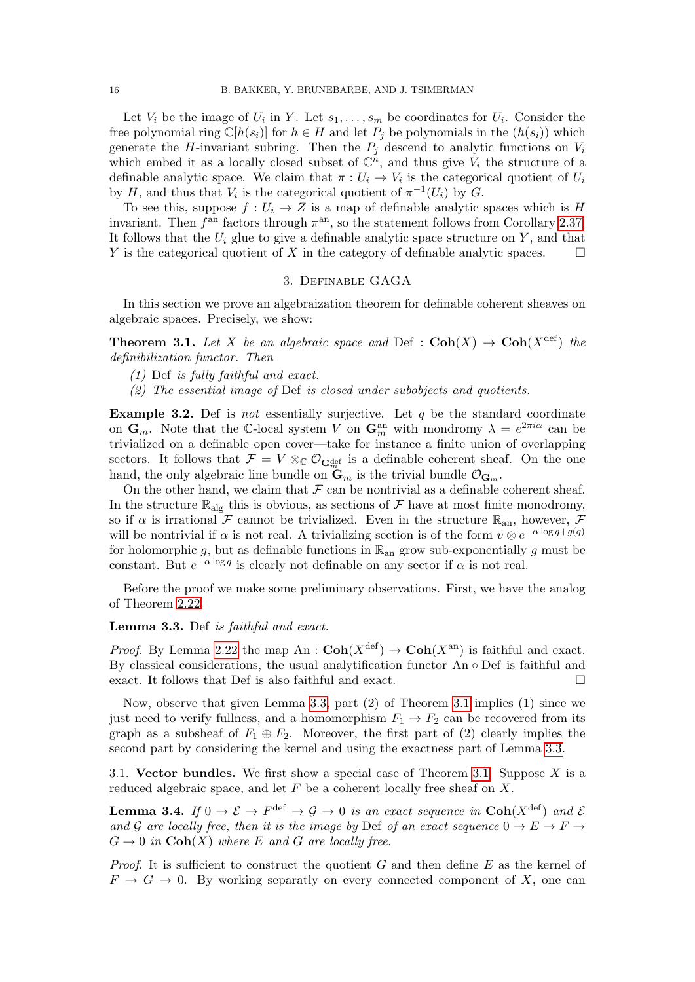Let  $V_i$  be the image of  $U_i$  in Y. Let  $s_1, \ldots, s_m$  be coordinates for  $U_i$ . Consider the free polynomial ring  $\mathbb{C}[h(s_i)]$  for  $h \in H$  and let  $P_i$  be polynomials in the  $(h(s_i))$  which generate the H-invariant subring. Then the  $P_i$  descend to analytic functions on  $V_i$ which embed it as a locally closed subset of  $\mathbb{C}^n$ , and thus give  $V_i$  the structure of a definable analytic space. We claim that  $\pi: U_i \to V_i$  is the categorical quotient of  $U_i$ by H, and thus that  $V_i$  is the categorical quotient of  $\pi^{-1}(U_i)$  by G.

To see this, suppose  $f: U_i \to Z$  is a map of definable analytic spaces which is H invariant. Then  $f<sup>an</sup>$  factors through  $\pi<sup>an</sup>$ , so the statement follows from Corollary [2.37.](#page-14-1) It follows that the  $U_i$  glue to give a definable analytic space structure on Y, and that Y is the categorical quotient of X in the category of definable analytic spaces.  $\square$ 

### 3. Definable GAGA

<span id="page-15-1"></span>In this section we prove an algebraization theorem for definable coherent sheaves on algebraic spaces. Precisely, we show:

<span id="page-15-2"></span>**Theorem 3.1.** Let X be an algebraic space and Def :  $\text{Coh}(X) \rightarrow \text{Coh}(X^{\text{def}})$  the definibilization functor. Then

- (1) Def is fully faithful and exact.
- (2) The essential image of Def is closed under subobjects and quotients.

<span id="page-15-0"></span>**Example 3.2.** Def is not essentially surjective. Let  $q$  be the standard coordinate on  $\mathbf{G}_m$ . Note that the C-local system V on  $\mathbf{G}_m^{\text{an}}$  with mondromy  $\lambda = e^{2\pi i \alpha}$  can be trivialized on a definable open cover—take for instance a finite union of overlapping sectors. It follows that  $\mathcal{F} = V \otimes_{\mathbb{C}} \mathcal{O}_{\mathbf{G}_{m}^{\text{def}}}$  is a definable coherent sheaf. On the one hand, the only algebraic line bundle on  $\mathbf{\ddot{G}}_m$  is the trivial bundle  $\mathcal{O}_{\mathbf{G}_m}$ .

On the other hand, we claim that  $\mathcal F$  can be nontrivial as a definable coherent sheaf. In the structure  $\mathbb{R}_{\text{alg}}$  this is obvious, as sections of  $\mathcal F$  have at most finite monodromy, so if  $\alpha$  is irrational F cannot be trivialized. Even in the structure  $\mathbb{R}_{\text{an}}$ , however, F will be nontrivial if  $\alpha$  is not real. A trivializing section is of the form  $v \otimes e^{-\alpha \log q + g(q)}$ for holomorphic g, but as definable functions in  $\mathbb{R}_{\text{an}}$  grow sub-exponentially g must be constant. But  $e^{-\alpha \log q}$  is clearly not definable on any sector if  $\alpha$  is not real.

Before the proof we make some preliminary observations. First, we have the analog of Theorem [2.22.](#page-10-0)

#### <span id="page-15-3"></span>Lemma 3.3. Def is faithful and exact.

*Proof.* By Lemma [2.22](#page-10-0) the map An :  $\text{Coh}(X^{\text{def}}) \to \text{Coh}(X^{\text{an}})$  is faithful and exact. By classical considerations, the usual analytification functor An ◦ Def is faithful and exact. It follows that Def is also faithful and exact.

Now, observe that given Lemma [3.3,](#page-15-3) part (2) of Theorem [3.1](#page-15-2) implies (1) since we just need to verify fullness, and a homomorphism  $F_1 \rightarrow F_2$  can be recovered from its graph as a subsheaf of  $F_1 \oplus F_2$ . Moreover, the first part of (2) clearly implies the second part by considering the kernel and using the exactness part of Lemma [3.3.](#page-15-3)

3.1. Vector bundles. We first show a special case of Theorem [3.1.](#page-15-2) Suppose  $X$  is a reduced algebraic space, and let  $F$  be a coherent locally free sheaf on  $X$ .

<span id="page-15-4"></span>**Lemma 3.4.** If  $0 \to \mathcal{E} \to F^{\text{def}} \to \mathcal{G} \to 0$  is an exact sequence in  $\text{Coh}(X^{\text{def}})$  and  $\mathcal{E}$ and G are locally free, then it is the image by Def of an exact sequence  $0 \to E \to F \to$  $G \to 0$  in  $\text{Coh}(X)$  where E and G are locally free.

*Proof.* It is sufficient to construct the quotient G and then define E as the kernel of  $F \to G \to 0$ . By working separatly on every connected component of X, one can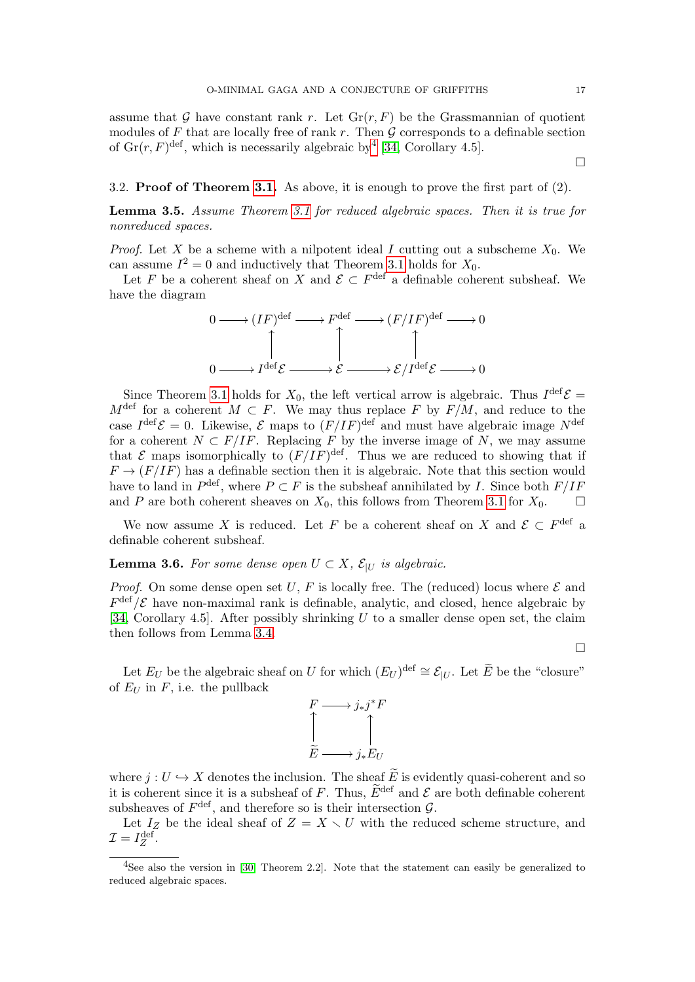assume that G have constant rank r. Let  $\mathrm{Gr}(r, F)$  be the Grassmannian of quotient modules of  $F$  that are locally free of rank  $r$ . Then  $\mathcal G$  corresponds to a definable section of  $\text{Gr}(r, F)^{\text{def}}$ , which is necessarily algebraic by [4](#page-16-0) [\[34,](#page-31-1) Corollary 4.5].

## 3.2. Proof of Theorem [3.1.](#page-15-2) As above, it is enough to prove the first part of (2).

Lemma 3.5. Assume Theorem [3.1](#page-15-2) for reduced algebraic spaces. Then it is true for nonreduced spaces.

*Proof.* Let X be a scheme with a nilpotent ideal I cutting out a subscheme  $X_0$ . We can assume  $I^2 = 0$  and inductively that Theorem [3.1](#page-15-2) holds for  $X_0$ .

Let F be a coherent sheaf on X and  $\mathcal{E} \subset F^{\text{def}}$  a definable coherent subsheaf. We have the diagram



Since Theorem [3.1](#page-15-2) holds for  $X_0$ , the left vertical arrow is algebraic. Thus  $I^{\text{def}}\mathcal{E} =$  $M^{\text{def}}$  for a coherent  $M \subset F$ . We may thus replace F by  $F/M$ , and reduce to the case  $I^{\text{def}}\mathcal{E}=0$ . Likewise,  $\mathcal E$  maps to  $(F/IF)^{\text{def}}$  and must have algebraic image  $N^{\text{def}}$ for a coherent  $N \subset F/I$ . Replacing F by the inverse image of N, we may assume that  $\mathcal E$  maps isomorphically to  $(F/IF)^{\text{def}}$ . Thus we are reduced to showing that if  $F \to (F/I)$  has a definable section then it is algebraic. Note that this section would have to land in  $P^{\text{def}}$ , where  $P \subset F$  is the subsheaf annihilated by I. Since both  $F/IF$ and P are both coherent sheaves on  $X_0$ , this follows from Theorem [3.1](#page-15-2) for  $X_0$ .

We now assume X is reduced. Let F be a coherent sheaf on X and  $\mathcal{E} \subset F^{\text{def}}$  a definable coherent subsheaf.

**Lemma 3.6.** For some dense open  $U \subset X$ ,  $\mathcal{E}_{|U}$  is algebraic.

*Proof.* On some dense open set U, F is locally free. The (reduced) locus where  $\mathcal E$  and  $F^{\text{def}}/\mathcal{E}$  have non-maximal rank is definable, analytic, and closed, hence algebraic by [\[34,](#page-31-1) Corollary 4.5]. After possibly shrinking  $U$  to a smaller dense open set, the claim then follows from Lemma [3.4.](#page-15-4)

 $\Box$ 

Let  $E_U$  be the algebraic sheaf on U for which  $(E_U)^{\text{def}} \cong \mathcal{E}_{|U}$ . Let  $\widetilde{E}$  be the "closure" of  $E_U$  in  $F$ , i.e. the pullback



where  $j: U \hookrightarrow X$  denotes the inclusion. The sheaf  $\widetilde{E}$  is evidently quasi-coherent and so it is coherent since it is a subsheaf of F. Thus,  $\widetilde{E}^{\text{def}}$  and  $\mathcal E$  are both definable coherent subsheaves of  $F^{\text{def}}$ , and therefore so is their intersection  $\mathcal{G}$ .

Let  $I_Z$  be the ideal sheaf of  $Z = X \setminus U$  with the reduced scheme structure, and  $\mathcal{I}=I_Z^{\text{def}}.$ 

 $\Box$ 

<span id="page-16-0"></span><sup>&</sup>lt;sup>4</sup>See also the version in [\[30,](#page-31-7) Theorem 2.2]. Note that the statement can easily be generalized to reduced algebraic spaces.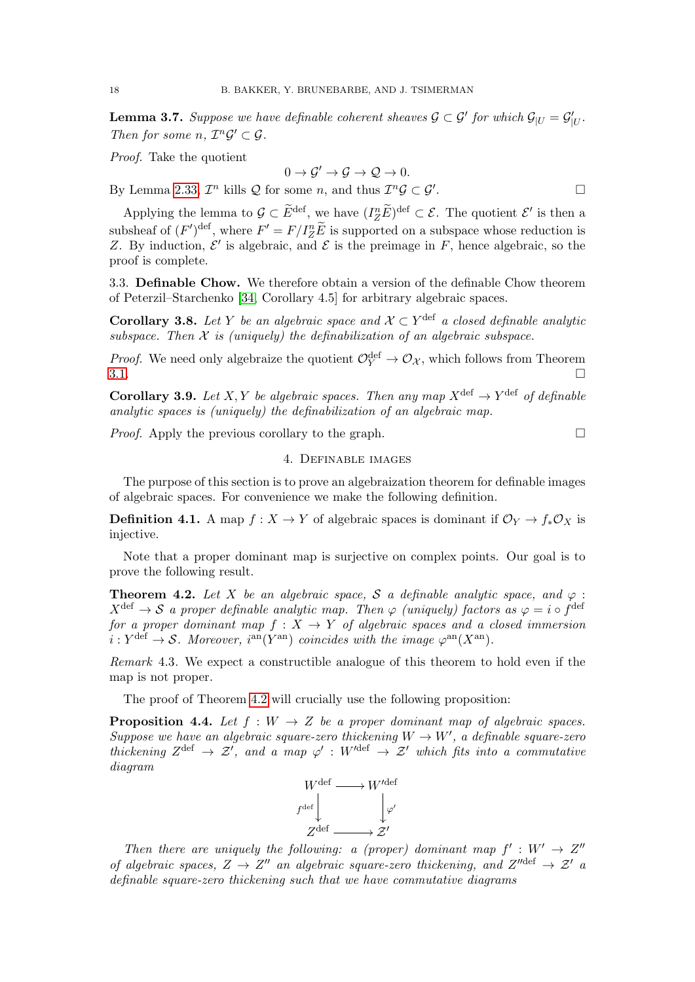**Lemma 3.7.** Suppose we have definable coherent sheaves  $\mathcal{G} \subset \mathcal{G}'$  for which  $\mathcal{G}_{|U} = \mathcal{G}'_{|U}$ . Then for some  $n, \mathcal{I}^n\mathcal{G}' \subset \mathcal{G}$ .

Proof. Take the quotient

$$
0 \to \mathcal{G}' \to \mathcal{G} \to \mathcal{Q} \to 0.
$$

By Lemma [2.33,](#page-13-1)  $\mathcal{I}^n$  kills  $\mathcal Q$  for some n, and thus  $\mathcal{I}^n\mathcal{G} \subset \mathcal{G}^{\prime}$ .

Applying the lemma to  $\mathcal{G} \subset \widetilde{E}^{\text{def}}$ , we have  $(I_Z^n \widetilde{E})^{\text{def}} \subset \mathcal{E}$ . The quotient  $\mathcal{E}'$  is then a subsheaf of  $(F')^{\text{def}}$ , where  $F' = F/I_Z^n \tilde{E}$  is supported on a subspace whose reduction is Z. By induction,  $\mathcal{E}'$  is algebraic, and  $\mathcal E$  is the preimage in F, hence algebraic, so the proof is complete.

3.3. Definable Chow. We therefore obtain a version of the definable Chow theorem of Peterzil–Starchenko [\[34,](#page-31-1) Corollary 4.5] for arbitrary algebraic spaces.

**Corollary 3.8.** Let Y be an algebraic space and  $\mathcal{X} \subset Y^{\text{def}}$  a closed definable analytic subspace. Then  $X$  is (uniquely) the definabilization of an algebraic subspace.

*Proof.* We need only algebraize the quotient  $\mathcal{O}_Y^{\text{def}} \to \mathcal{O}_X$ , which follows from Theorem  $3.1.$ 

**Corollary 3.9.** Let X, Y be algebraic spaces. Then any map  $X^{\text{def}} \to Y^{\text{def}}$  of definable analytic spaces is (uniquely) the definabilization of an algebraic map.

<span id="page-17-0"></span>*Proof.* Apply the previous corollary to the graph.  $\square$ 

## 4. Definable images

The purpose of this section is to prove an algebraization theorem for definable images of algebraic spaces. For convenience we make the following definition.

**Definition 4.1.** A map  $f : X \to Y$  of algebraic spaces is dominant if  $\mathcal{O}_Y \to f_* \mathcal{O}_X$  is injective.

Note that a proper dominant map is surjective on complex points. Our goal is to prove the following result.

<span id="page-17-1"></span>**Theorem 4.2.** Let X be an algebraic space, S a definable analytic space, and  $\varphi$ :  $X^{\text{def}} \to \mathcal{S}$  a proper definable analytic map. Then  $\varphi$  (uniquely) factors as  $\varphi = i \circ f^{\text{def}}$ for a proper dominant map  $f : X \to Y$  of algebraic spaces and a closed immersion  $i: Y^{\text{def}} \to \mathcal{S}$ . Moreover,  $i^{\text{an}}(Y^{\text{an}})$  coincides with the image  $\varphi^{\text{an}}(X^{\text{an}})$ .

Remark 4.3. We expect a constructible analogue of this theorem to hold even if the map is not proper.

The proof of Theorem [4.2](#page-17-1) will crucially use the following proposition:

<span id="page-17-2"></span>**Proposition 4.4.** Let  $f : W \to Z$  be a proper dominant map of algebraic spaces. Suppose we have an algebraic square-zero thickening  $W \to W'$ , a definable square-zero thickening  $Z^{\text{def}} \to \mathcal{Z}'$ , and a map  $\varphi' : W'^{\text{def}} \to \mathcal{Z}'$  which fits into a commutative diagram



Then there are uniquely the following: a (proper) dominant map  $f': W' \to Z''$ of algebraic spaces,  $Z \to Z''$  an algebraic square-zero thickening, and  $Z''<sup>def</sup> \to \mathcal{Z}'$  a definable square-zero thickening such that we have commutative diagrams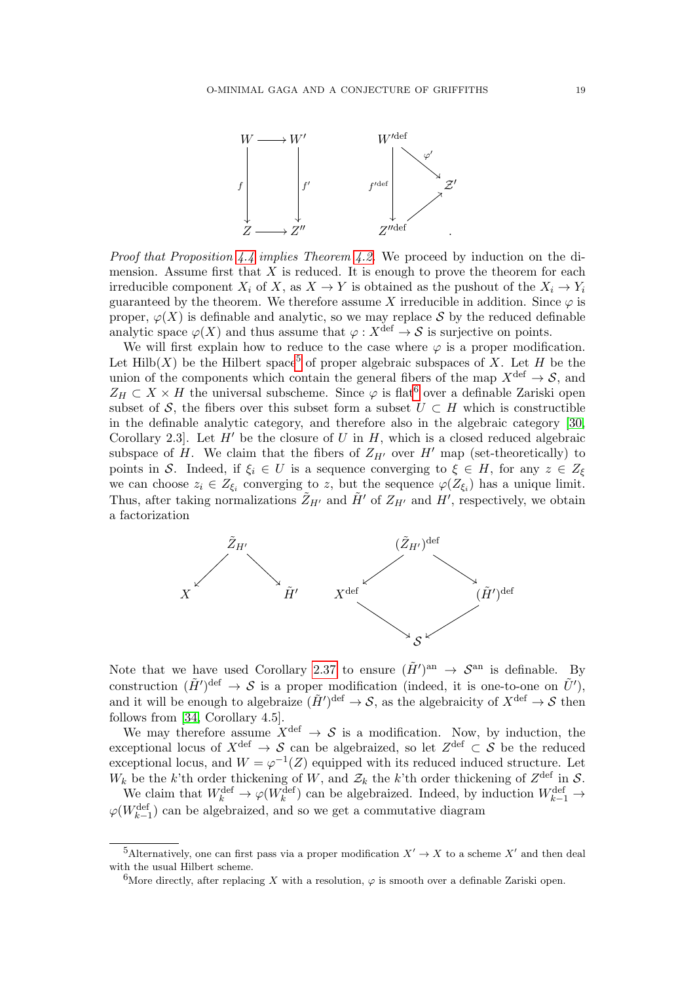

*Proof that Proposition [4.4](#page-17-2) implies Theorem [4.2.](#page-17-1)* We proceed by induction on the dimension. Assume first that  $X$  is reduced. It is enough to prove the theorem for each irreducible component  $X_i$  of X, as  $X \to Y$  is obtained as the pushout of the  $X_i \to Y_i$ guaranteed by the theorem. We therefore assume X irreducible in addition. Since  $\varphi$  is proper,  $\varphi(X)$  is definable and analytic, so we may replace S by the reduced definable analytic space  $\varphi(X)$  and thus assume that  $\varphi: X^{\text{def}} \to S$  is surjective on points.

We will first explain how to reduce to the case where  $\varphi$  is a proper modification. Let Hilb(X) be the Hilbert space<sup>[5](#page-18-0)</sup> of proper algebraic subspaces of X. Let H be the union of the components which contain the general fibers of the map  $X^{\text{def}} \to \mathcal{S}$ , and  $Z_H \subset X \times H$  the universal subscheme. Since  $\varphi$  is flat<sup>[6](#page-18-1)</sup> over a definable Zariski open subset of S, the fibers over this subset form a subset  $U \subset H$  which is constructible in the definable analytic category, and therefore also in the algebraic category [\[30,](#page-31-7) Corollary 2.3. Let  $H'$  be the closure of U in H, which is a closed reduced algebraic subspace of H. We claim that the fibers of  $Z_{H'}$  over H' map (set-theoretically) to points in S. Indeed, if  $\xi_i \in U$  is a sequence converging to  $\xi \in H$ , for any  $z \in Z_{\xi}$ we can choose  $z_i \in Z_{\xi_i}$  converging to z, but the sequence  $\varphi(Z_{\xi_i})$  has a unique limit. Thus, after taking normalizations  $\tilde{Z}_{H'}$  and  $\tilde{H}'$  of  $Z_{H'}$  and  $H'$ , respectively, we obtain a factorization



Note that we have used Corollary [2.37](#page-14-1) to ensure  $(\tilde{H}')^{\text{an}} \to \mathcal{S}^{\text{an}}$  is definable. By construction  $(\tilde{H}')^{\text{def}} \to \mathcal{S}$  is a proper modification (indeed, it is one-to-one on  $\tilde{U}'$ ), and it will be enough to algebraize  $(\tilde{H}')^{\text{def}} \to S$ , as the algebraicity of  $X^{\text{def}} \to S$  then follows from [\[34,](#page-31-1) Corollary 4.5].

We may therefore assume  $X^{\text{def}} \to S$  is a modification. Now, by induction, the exceptional locus of  $X^{\text{def}} \to \mathcal{S}$  can be algebraized, so let  $Z^{\text{def}} \subset \mathcal{S}$  be the reduced exceptional locus, and  $W = \varphi^{-1}(Z)$  equipped with its reduced induced structure. Let  $W_k$  be the k'th order thickening of W, and  $\mathcal{Z}_k$  the k'th order thickening of  $Z^{\text{def}}$  in S.

We claim that  $W_k^{\text{def}} \to \varphi(W_k^{\text{def}})$  can be algebraized. Indeed, by induction  $W_{k-1}^{\text{def}} \to$  $\varphi(W_{k-1}^{\mathrm{def}})$  can be algebraized, and so we get a commutative diagram

<span id="page-18-0"></span><sup>&</sup>lt;sup>5</sup>Alternatively, one can first pass via a proper modification  $X' \to X$  to a scheme  $X'$  and then deal with the usual Hilbert scheme.

<span id="page-18-1"></span><sup>&</sup>lt;sup>6</sup>More directly, after replacing X with a resolution,  $\varphi$  is smooth over a definable Zariski open.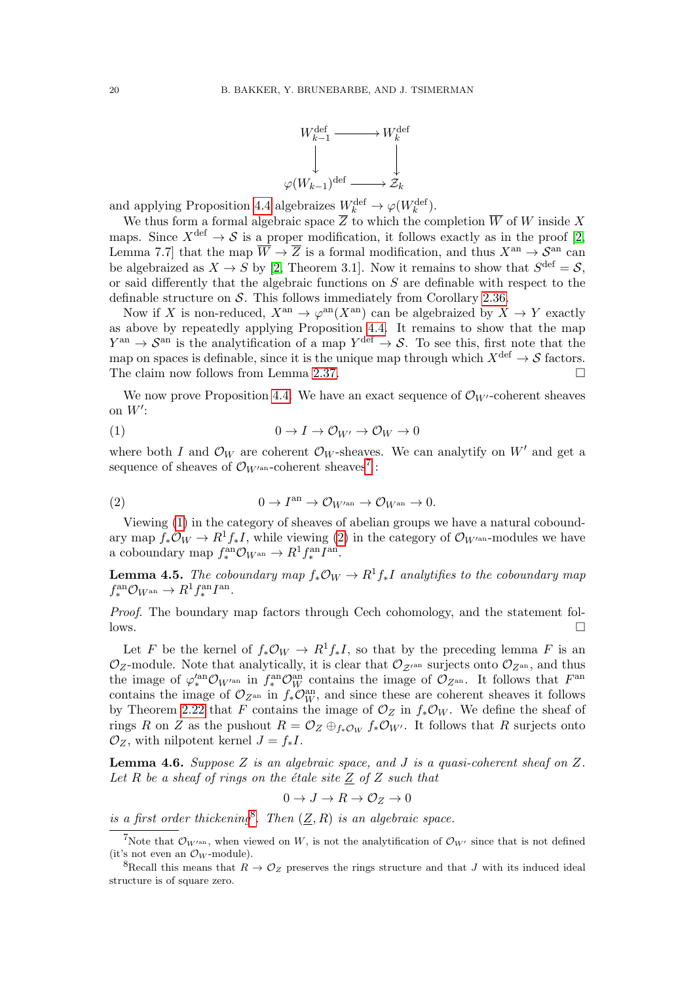

and applying Proposition [4.4](#page-17-2) algebraizes  $W_k^{\text{def}} \to \varphi(W_k^{\text{def}})$ .

We thus form a formal algebraic space  $\overline{Z}$  to which the completion  $\overline{W}$  of W inside X maps. Since  $X^{\text{def}} \to \mathcal{S}$  is a proper modification, it follows exactly as in the proof [\[2,](#page-30-13) Lemma 7.7] that the map  $\overline{W} \to \overline{Z}$  is a formal modification, and thus  $X^{\text{an}} \to S^{\text{an}}$  can be algebraized as  $X \to S$  by [\[2,](#page-30-13) Theorem 3.1]. Now it remains to show that  $S^{\text{def}} = S$ , or said differently that the algebraic functions on  $S$  are definable with respect to the definable structure on  $S$ . This follows immediately from Corollary [2.36.](#page-14-0)

Now if X is non-reduced,  $X^{\text{an}} \to \varphi^{\text{an}}(X^{\text{an}})$  can be algebraized by  $X \to Y$  exactly as above by repeatedly applying Proposition [4.4.](#page-17-2) It remains to show that the map  $Y^{\text{an}} \to \mathcal{S}^{\text{an}}$  is the analytification of a map  $Y^{\text{def}} \to \mathcal{S}$ . To see this, first note that the map on spaces is definable, since it is the unique map through which  $X^{\text{def}} \to \mathcal{S}$  factors. The claim now follows from Lemma [2.37.](#page-14-1)

We now prove Proposition [4.4.](#page-17-2) We have an exact sequence of  $\mathcal{O}_{W'}$ -coherent sheaves on  $W'$ :

<span id="page-19-1"></span>
$$
(1) \t\t 0 \to I \to \mathcal{O}_{W'} \to \mathcal{O}_W \to 0
$$

where both I and  $\mathcal{O}_W$  are coherent  $\mathcal{O}_W$ -sheaves. We can analytify on W' and get a sequence of sheaves of  $\mathcal{O}_{W^{\prime\mathrm{an}}}$ -coherent sheaves<sup>[7](#page-19-0)</sup>:

<span id="page-19-2"></span>(2) 
$$
0 \to I^{\text{an}} \to \mathcal{O}_{W^{\text{an}}} \to \mathcal{O}_{W^{\text{an}}} \to 0.
$$

Viewing [\(1\)](#page-19-1) in the category of sheaves of abelian groups we have a natural coboundary map  $f_*\mathcal{O}_W \to R^1f_*I$ , while viewing [\(2\)](#page-19-2) in the category of  $\mathcal{O}_{W^{\prime\mathrm{an}}}$ -modules we have a coboundary map  $f_*^{\text{an}} \mathcal{O}_{W^{\text{an}}} \to R^1 f_*^{\text{an}} I^{\text{an}}.$ 

**Lemma 4.5.** The coboundary map  $f_*\mathcal{O}_W \to R^1 f_* I$  analytifies to the coboundary map  $f^{\text{an}}_* \mathcal{O}_{W^{\text{an}}} \to R^1 f^{\text{an}}_* I^{\text{an}}.$ 

Proof. The boundary map factors through Cech cohomology, and the statement follows.

Let F be the kernel of  $f_*\mathcal{O}_W \to R^1f_*I$ , so that by the preceding lemma F is an  $\mathcal{O}_Z$ -module. Note that analytically, it is clear that  $\mathcal{O}_{Z^{\text{an}}}$  surjects onto  $\mathcal{O}_{Z^{\text{an}}}$ , and thus the image of  $\varphi_*^{\text{van}} \mathcal{O}_{W^{\text{van}}}$  in  $f_*^{\text{an}} \mathcal{O}_W^{\text{van}}$  contains the image of  $\mathcal{O}_{Z^{\text{an}}}$ . It follows that  $F^{\text{an}}$ contains the image of  $\mathcal{O}_{Z^{\text{an}}}$  in  $f_* \mathcal{O}_W^{\text{an}}$ , and since these are coherent sheaves it follows by Theorem [2.22](#page-10-0) that F contains the image of  $\mathcal{O}_Z$  in  $f_*\mathcal{O}_W$ . We define the sheaf of rings R on Z as the pushout  $R = \mathcal{O}_Z \oplus_{f_*\mathcal{O}_W} f_*\mathcal{O}_{W'}$ . It follows that R surjects onto  $\mathcal{O}_Z$ , with nilpotent kernel  $J = f_*I$ .

<span id="page-19-4"></span>**Lemma 4.6.** Suppose Z is an algebraic space, and J is a quasi-coherent sheaf on Z. Let R be a sheaf of rings on the étale site  $\underline{Z}$  of Z such that

$$
0 \to J \to R \to \mathcal{O}_Z \to 0
$$

is a first order thickening<sup>[8](#page-19-3)</sup>. Then  $(\underline{Z}, R)$  is an algebraic space.

<span id="page-19-0"></span><sup>&</sup>lt;sup>7</sup>Note that  $\mathcal{O}_{W^{an}}$ , when viewed on W, is not the analytification of  $\mathcal{O}_{W'}$  since that is not defined (it's not even an  $\mathcal{O}_W$ -module).

<span id="page-19-3"></span><sup>&</sup>lt;sup>8</sup>Recall this means that  $R \to \mathcal{O}_Z$  preserves the rings structure and that J with its induced ideal structure is of square zero.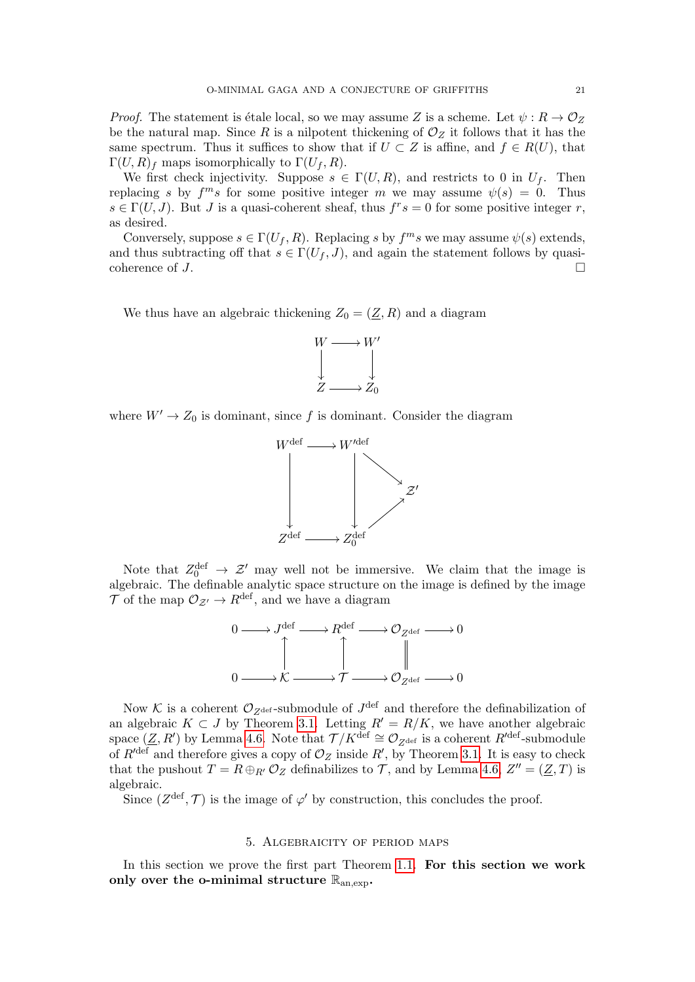*Proof.* The statement is étale local, so we may assume Z is a scheme. Let  $\psi : R \to \mathcal{O}_Z$ be the natural map. Since R is a nilpotent thickening of  $\mathcal{O}_Z$  it follows that it has the same spectrum. Thus it suffices to show that if  $U \subset Z$  is affine, and  $f \in R(U)$ , that  $\Gamma(U, R)_f$  maps isomorphically to  $\Gamma(U_f, R)$ .

We first check injectivity. Suppose  $s \in \Gamma(U, R)$ , and restricts to 0 in  $U_f$ . Then replacing s by  $f^{m}s$  for some positive integer m we may assume  $\psi(s) = 0$ . Thus  $s \in \Gamma(U, J)$ . But J is a quasi-coherent sheaf, thus  $f^r s = 0$  for some positive integer r, as desired.

Conversely, suppose  $s \in \Gamma(U_f, R)$ . Replacing s by  $f^m s$  we may assume  $\psi(s)$  extends, and thus subtracting off that  $s \in \Gamma(U_f, J)$ , and again the statement follows by quasicoherence of  $J$ .

We thus have an algebraic thickening  $Z_0 = (\underline{Z}, R)$  and a diagram



where  $W' \to Z_0$  is dominant, since f is dominant. Consider the diagram



Note that  $Z_0^{\text{def}} \to \mathcal{Z}'$  may well not be immersive. We claim that the image is algebraic. The definable analytic space structure on the image is defined by the image  $\overrightarrow{\mathcal{T}}$  of the map  $\mathcal{O}_{\mathcal{Z}'} \to R^{\text{def}}$ , and we have a diagram



Now K is a coherent  $\mathcal{O}_{Z^{\text{def}}}$ -submodule of  $J^{\text{def}}$  and therefore the definabilization of an algebraic  $K \subset J$  by Theorem [3.1.](#page-15-2) Letting  $R' = R/K$ , we have another algebraic space  $(\underline{Z}, R')$  by Lemma [4.6.](#page-19-4) Note that  $\mathcal{T}/K^{\text{def}} \cong \mathcal{O}_{Z^{\text{def}}}$  is a coherent  $R'^{\text{def}}$ -submodule of  $R'^{\text{def}}$  and therefore gives a copy of  $\mathcal{O}_Z$  inside  $R'$ , by Theorem [3.1.](#page-15-2) It is easy to check that the pushout  $T = R \oplus_{R'} O_Z$  definabilizes to  $T$ , and by Lemma [4.6,](#page-19-4)  $Z'' = (\underline{Z}, T)$  is algebraic.

Since  $(Z^{\text{def}}, \mathcal{T})$  is the image of  $\varphi'$  by construction, this concludes the proof.

### 5. Algebraicity of period maps

<span id="page-20-0"></span>In this section we prove the first part Theorem [1.1.](#page-0-1) For this section we work only over the o-minimal structure  $\mathbb{R}_{an,exp}$ .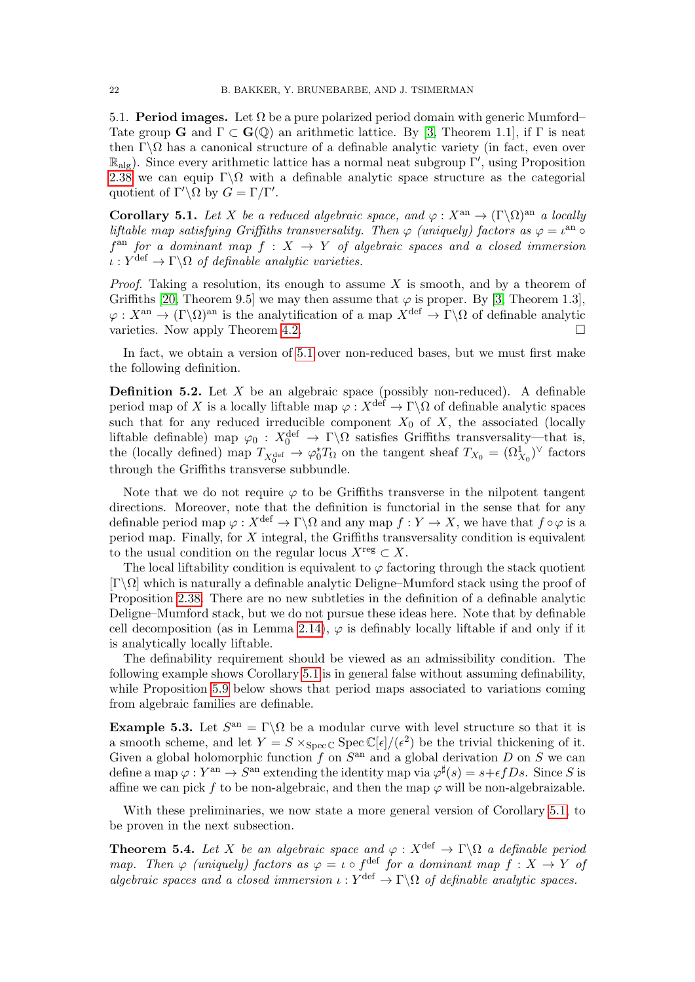5.1. **Period images.** Let  $\Omega$  be a pure polarized period domain with generic Mumford– Tate group **G** and  $\Gamma \subset \mathbf{G}(\mathbb{Q})$  an arithmetic lattice. By [\[3,](#page-30-3) Theorem 1.1], if  $\Gamma$  is neat then  $\Gamma \backslash \Omega$  has a canonical structure of a definable analytic variety (in fact, even over  $\mathbb{R}_{\text{alg}}$ ). Since every arithmetic lattice has a normal neat subgroup  $\Gamma'$ , using Proposition [2.38](#page-14-2) we can equip  $\Gamma\backslash\Omega$  with a definable analytic space structure as the categorial quotient of  $\Gamma' \backslash \Omega$  by  $G = \Gamma / \Gamma'$ .

<span id="page-21-2"></span>Corollary 5.1. Let X be a reduced algebraic space, and  $\varphi: X^{\text{an}} \to (\Gamma \backslash \Omega)^{\text{an}}$  a locally liftable map satisfying Griffiths transversality. Then  $\varphi$  (uniquely) factors as  $\varphi = \iota^{\text{an}} \circ$  $f<sup>an</sup>$  for a dominant map  $f : X \to Y$  of algebraic spaces and a closed immersion  $\iota: Y^{\text{def}} \to \Gamma \backslash \Omega$  of definable analytic varieties.

*Proof.* Taking a resolution, its enough to assume  $X$  is smooth, and by a theorem of Griffiths [\[20,](#page-30-4) Theorem 9.5] we may then assume that  $\varphi$  is proper. By [\[3,](#page-30-3) Theorem 1.3],  $\varphi: X^{\rm an} \to (\Gamma \backslash \Omega)^{\rm an}$  is the analytification of a map  $X^{\rm def} \to \Gamma \backslash \Omega$  of definable analytic varieties. Now apply Theorem [4.2.](#page-17-1)

In fact, we obtain a version of [5.1](#page-21-2) over non-reduced bases, but we must first make the following definition.

<span id="page-21-3"></span>**Definition 5.2.** Let  $X$  be an algebraic space (possibly non-reduced). A definable period map of X is a locally liftable map  $\varphi: X^{\text{def}} \to \Gamma \backslash \Omega$  of definable analytic spaces such that for any reduced irreducible component  $X_0$  of X, the associated (locally liftable definable) map  $\varphi_0: X_0^{\text{def}} \to \Gamma \backslash \Omega$  satisfies Griffiths transversality—that is, the (locally defined) map  $T_{X_0^{\text{def}}} \to \varphi_0^* T_\Omega$  on the tangent sheaf  $T_{X_0} = (\Omega_{X_0}^1)^\vee$  factors through the Griffiths transverse subbundle.

Note that we do not require  $\varphi$  to be Griffiths transverse in the nilpotent tangent directions. Moreover, note that the definition is functorial in the sense that for any definable period map  $\varphi: X^{\text{def}} \to \Gamma \backslash \Omega$  and any map  $f: Y \to X$ , we have that  $f \circ \varphi$  is a period map. Finally, for X integral, the Griffiths transversality condition is equivalent to the usual condition on the regular locus  $X^{\text{reg}} \subset X$ .

The local liftability condition is equivalent to  $\varphi$  factoring through the stack quotient  $[\Gamma\setminus\Omega]$  which is naturally a definable analytic Deligne–Mumford stack using the proof of Proposition [2.38.](#page-14-2) There are no new subtleties in the definition of a definable analytic Deligne–Mumford stack, but we do not pursue these ideas here. Note that by definable cell decomposition (as in Lemma [2.14\)](#page-7-0),  $\varphi$  is definably locally liftable if and only if it is analytically locally liftable.

The definability requirement should be viewed as an admissibility condition. The following example shows Corollary [5.1](#page-21-2) is in general false without assuming definability, while Proposition [5.9](#page-23-0) below shows that period maps associated to variations coming from algebraic families are definable.

<span id="page-21-0"></span>**Example 5.3.** Let  $S^{an} = \Gamma \backslash \Omega$  be a modular curve with level structure so that it is a smooth scheme, and let  $Y = S \times_{Spec \mathbb{C}} Spec \mathbb{C}[\epsilon]/(\epsilon^2)$  be the trivial thickening of it. Given a global holomorphic function  $f$  on  $S<sup>an</sup>$  and a global derivation D on S we can define a map  $\varphi: Y^{\text{an}} \to S^{\text{an}}$  extending the identity map via  $\varphi^{\sharp}(s) = s + \epsilon f D s$ . Since S is affine we can pick f to be non-algebraic, and then the map  $\varphi$  will be non-algebraizable.

With these preliminaries, we now state a more general version of Corollary [5.1,](#page-21-2) to be proven in the next subsection.

<span id="page-21-1"></span>**Theorem 5.4.** Let X be an algebraic space and  $\varphi : X^{\text{def}} \to \Gamma \backslash \Omega$  a definable period map. Then  $\varphi$  (uniquely) factors as  $\varphi = \iota \circ f^{\text{def}}$  for a dominant map  $f : X \to Y$  of algebraic spaces and a closed immersion  $\iota : Y^{\text{def}} \to \Gamma \backslash \Omega$  of definable analytic spaces.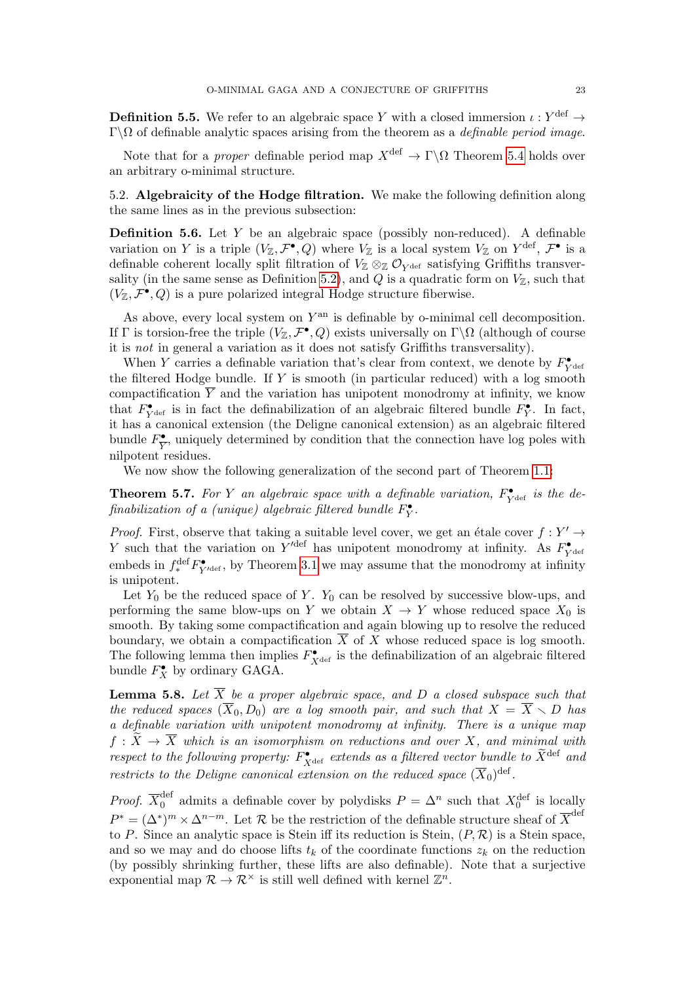**Definition 5.5.** We refer to an algebraic space Y with a closed immersion  $\iota: Y^{\text{def}} \to$  $Γ\Omega$  of definable analytic spaces arising from the theorem as a *definable period image*.

Note that for a *proper* definable period map  $X^{\text{def}} \to \Gamma \backslash \Omega$  Theorem [5.4](#page-21-1) holds over an arbitrary o-minimal structure.

5.2. Algebraicity of the Hodge filtration. We make the following definition along the same lines as in the previous subsection:

**Definition 5.6.** Let  $Y$  be an algebraic space (possibly non-reduced). A definable variation on Y is a triple  $(V_{\mathbb{Z}}, \mathcal{F}^{\bullet}, Q)$  where  $V_{\mathbb{Z}}$  is a local system  $V_{\mathbb{Z}}$  on  $Y^{\text{def}}, \mathcal{F}^{\bullet}$  is a definable coherent locally split filtration of  $V_{\mathbb{Z}} \otimes_{\mathbb{Z}} \mathcal{O}_{Y^{\text{def}}}$  satisfying Griffiths transver-sality (in the same sense as Definition [5.2\)](#page-21-3), and  $Q$  is a quadratic form on  $V_{\mathbb{Z}}$ , such that  $(V_{\mathbb{Z}}, \mathcal{F}^{\bullet}, Q)$  is a pure polarized integral Hodge structure fiberwise.

As above, every local system on  $Y^{\text{an}}$  is definable by o-minimal cell decomposition. If  $\Gamma$  is torsion-free the triple  $(V_{\mathbb{Z}}, \mathcal{F}^{\bullet}, Q)$  exists universally on  $\Gamma \backslash \Omega$  (although of course it is not in general a variation as it does not satisfy Griffiths transversality).

When Y carries a definable variation that's clear from context, we denote by  $F_{Y^{\text{det}}}^{\bullet}$ the filtered Hodge bundle. If  $Y$  is smooth (in particular reduced) with a log smooth compactification  $\overline{Y}$  and the variation has unipotent monodromy at infinity, we know that  $F_{Y^{\text{def}}}^{\bullet}$  is in fact the definabilization of an algebraic filtered bundle  $F_{Y}^{\bullet}$ . In fact, it has a canonical extension (the Deligne canonical extension) as an algebraic filtered bundle  $F_{\overline{V}}^{\bullet}$  $\sum_{i=1}^{\infty}$ , uniquely determined by condition that the connection have log poles with nilpotent residues.

We now show the following generalization of the second part of Theorem [1.1:](#page-0-1)

<span id="page-22-0"></span>**Theorem 5.7.** For Y an algebraic space with a definable variation,  $F_{Y^{\text{def}}}^{\bullet}$  is the definabilization of a (unique) algebraic filtered bundle  $F_Y^{\bullet}$ .

*Proof.* First, observe that taking a suitable level cover, we get an étale cover  $f : Y' \to Y'$ Y such that the variation on  $Y'^{\text{def}}$  has unipotent monodromy at infinity. As  $F_{Y^{\text{def}}}^{\bullet}$ embeds in  $f_*^{\text{def}} F_{Y'^{\text{def}}}^{\bullet}$ , by Theorem [3.1](#page-15-2) we may assume that the monodromy at infinity is unipotent.

Let  $Y_0$  be the reduced space of Y.  $Y_0$  can be resolved by successive blow-ups, and performing the same blow-ups on Y we obtain  $X \to Y$  whose reduced space  $X_0$  is smooth. By taking some compactification and again blowing up to resolve the reduced boundary, we obtain a compactification  $\overline{X}$  of X whose reduced space is log smooth. The following lemma then implies  $F_{X^{\text{def}}}^{\bullet}$  is the definabilization of an algebraic filtered bundle  $F_X^{\bullet}$  by ordinary GAGA.

**Lemma 5.8.** Let  $\overline{X}$  be a proper algebraic space, and D a closed subspace such that the reduced spaces  $(\overline{X}_0, D_0)$  are a log smooth pair, and such that  $X = \overline{X} \setminus D$  has a definable variation with unipotent monodromy at infinity. There is a unique map  $f: \widetilde{X} \to \overline{X}$  which is an isomorphism on reductions and over X, and minimal with respect to the following property:  $F_{X^{\text{def}}}^{\bullet}$  extends as a filtered vector bundle to  $\widetilde{X}^{\text{def}}$  and restricts to the Deligne canonical extension on the reduced space  $(\overline{X}_0)^{\text{def}}$ .

*Proof.*  $\overline{X}_0^{\text{def}}$  admits a definable cover by polydisks  $P = \Delta^n$  such that  $X_0^{\text{def}}$  is locally  $P^* = (\Delta^*)^m \times \Delta^{n-m}$ . Let R be the restriction of the definable structure sheaf of  $\overline{X}^{\text{def}}$ to P. Since an analytic space is Stein iff its reduction is Stein,  $(P, \mathcal{R})$  is a Stein space, and so we may and do choose lifts  $t_k$  of the coordinate functions  $z_k$  on the reduction (by possibly shrinking further, these lifts are also definable). Note that a surjective exponential map  $\mathcal{R} \to \mathcal{R}^{\times}$  is still well defined with kernel  $\mathbb{Z}^n$ .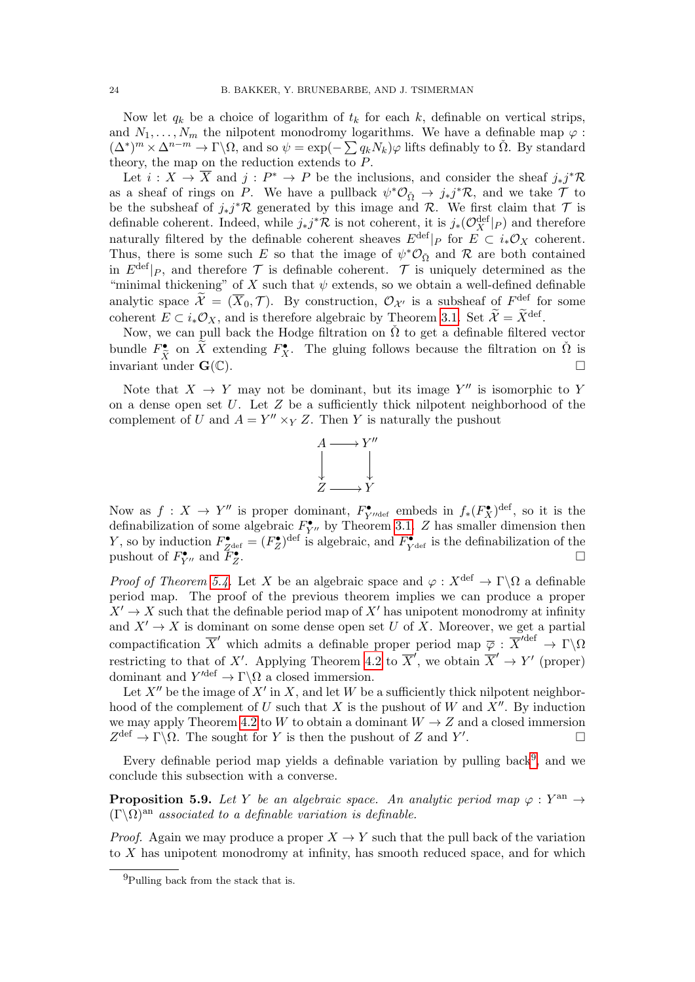Now let  $q_k$  be a choice of logarithm of  $t_k$  for each k, definable on vertical strips, and  $N_1, \ldots, N_m$  the nilpotent monodromy logarithms. We have a definable map  $\varphi$ :  $(\Delta^*)^m \times \Delta^{n-m} \to \Gamma \backslash \Omega$ , and so  $\psi = \exp(-\sum q_k N_k) \varphi$  lifts definably to  $\check{\Omega}$ . By standard theory, the map on the reduction extends to P.

Let  $i: X \to \overline{X}$  and  $j: P^* \to P$  be the inclusions, and consider the sheaf  $j_*j^*R$ as a sheaf of rings on P. We have a pullback  $\psi^* \mathcal{O}_{\check{\Omega}} \to j_* j^* \mathcal{R}$ , and we take  $\mathcal{T}$  to be the subsheaf of  $j_*j^*\mathcal{R}$  generated by this image and  $\mathcal{R}$ . We first claim that  $\mathcal T$  is definable coherent. Indeed, while  $j_*j^*\mathcal{R}$  is not coherent, it is  $j_*(\mathcal{O}_X^{\text{def}}|_P)$  and therefore naturally filtered by the definable coherent sheaves  $E^{\text{def}}|_P$  for  $E \subset i_* \mathcal{O}_X$  coherent. Thus, there is some such E so that the image of  $\psi^* \mathcal{O}_{\Omega}$  and R are both contained in  $E^{\text{def}}|_P$ , and therefore  $\mathcal T$  is definable coherent.  $\mathcal T$  is uniquely determined as the "minimal thickening" of X such that  $\psi$  extends, so we obtain a well-defined definable analytic space  $\widetilde{\mathcal{X}} = (\overline{X}_0, \mathcal{T})$ . By construction,  $\mathcal{O}_{\mathcal{X}'}$  is a subsheaf of  $F^{\text{def}}$  for some coherent  $E \subset i_* \mathcal{O}_X$ , and is therefore algebraic by Theorem [3.1.](#page-15-2) Set  $\widetilde{\mathcal{X}} = \widetilde{X}^{\text{def}}$ .

Now, we can pull back the Hodge filtration on  $\check{\Omega}$  to get a definable filtered vector bundle  $F_{\tilde{X}}^{\bullet}$  on  $\tilde{X}$  extending  $F_{X}^{\bullet}$ . The gluing follows because the filtration on  $\tilde{\Omega}$  is  $\liminf_{X \to \infty} X^{X+1}$  is graing tensor secality the intraction on  $\Omega$  is  $\Box$ 

Note that  $X \to Y$  may not be dominant, but its image Y'' is isomorphic to Y on a dense open set  $U$ . Let  $Z$  be a sufficiently thick nilpotent neighborhood of the complement of U and  $A = Y'' \times_Y Z$ . Then Y is naturally the pushout



Now as  $f: X \to Y''$  is proper dominant,  $F_{Y''\text{def}}^{\bullet}$  embeds in  $f_*(F_X^{\bullet})^{\text{def}}$ , so it is the definabilization of some algebraic  $F_{Y''}^{\bullet}$  by Theorem [3.1.](#page-15-2) Z has smaller dimension then Y, so by induction  $F_{Z^{\text{def}}}^{\bullet} = (F_Z^{\bullet})^{\text{def}}$  is algebraic, and  $F_{Y^{\text{def}}}^{\bullet}$  is the definabilization of the pushout of  $F_{Y''}^{\bullet}$  and  $F_Z^{\bullet}$ . The contract of  $\mathcal{L}$  is the contract of  $\mathcal{L}$ 

*Proof of Theorem [5.4.](#page-21-1)* Let X be an algebraic space and  $\varphi : X^{\text{def}} \to \Gamma \backslash \Omega$  a definable period map. The proof of the previous theorem implies we can produce a proper  $X' \to X$  such that the definable period map of X' has unipotent monodromy at infinity and  $X' \to X$  is dominant on some dense open set U of X. Moreover, we get a partial compactification  $\overline{X}'$  which admits a definable proper period map  $\overline{\varphi} : \overline{X}'^{def} \to \Gamma \backslash \Omega$ restricting to that of X'. Applying Theorem [4.2](#page-17-1) to  $\overline{X}'$ , we obtain  $\overline{X}' \to Y'$  (proper) dominant and  $Y'^{\text{def}} \to \Gamma \backslash \Omega$  a closed immersion.

Let  $X''$  be the image of  $X'$  in X, and let W be a sufficiently thick nilpotent neighborhood of the complement of U such that X is the pushout of W and  $X''$ . By induction we may apply Theorem [4.2](#page-17-1) to W to obtain a dominant  $W \to Z$  and a closed immersion  $Z^{\text{def}} \to \Gamma \backslash \Omega$ . The sought for Y is then the pushout of Z and Y' .

Every definable period map yields a definable variation by pulling back<sup>[9](#page-23-1)</sup>, and we conclude this subsection with a converse.

<span id="page-23-0"></span>**Proposition 5.9.** Let Y be an algebraic space. An analytic period map  $\varphi: Y^{an} \to$  $(\Gamma \backslash \Omega)$ <sup>an</sup> associated to a definable variation is definable.

*Proof.* Again we may produce a proper  $X \to Y$  such that the pull back of the variation to X has unipotent monodromy at infinity, has smooth reduced space, and for which

<span id="page-23-1"></span><sup>9</sup>Pulling back from the stack that is.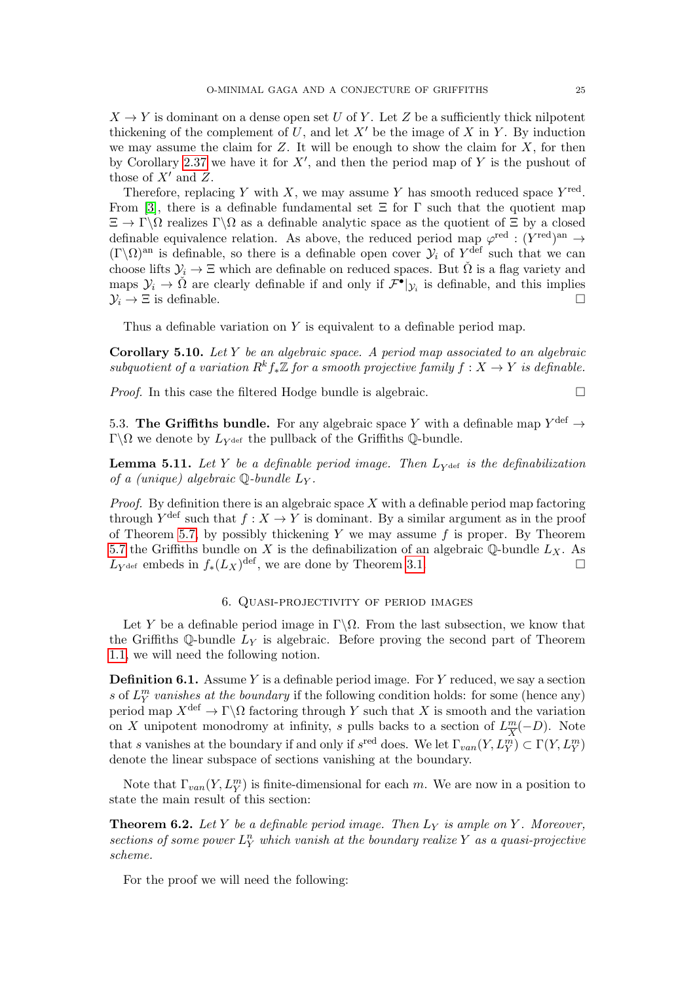$X \to Y$  is dominant on a dense open set U of Y. Let Z be a sufficiently thick nilpotent thickening of the complement of U, and let  $X'$  be the image of X in Y. By induction we may assume the claim for  $Z$ . It will be enough to show the claim for  $X$ , for then by Corollary [2.37](#page-14-1) we have it for  $X'$ , and then the period map of Y is the pushout of those of  $X'$  and  $Z$ .

Therefore, replacing Y with X, we may assume Y has smooth reduced space  $Y^{\text{red}}$ . From [\[3\]](#page-30-3), there is a definable fundamental set  $\Xi$  for  $\Gamma$  such that the quotient map  $\Xi \to \Gamma \backslash \Omega$  realizes  $\Gamma \backslash \Omega$  as a definable analytic space as the quotient of  $\Xi$  by a closed definable equivalence relation. As above, the reduced period map  $\varphi^{\text{red}} : (Y^{\text{red}})^{\text{an}} \to$  $(\Gamma \backslash \Omega)$ <sup>an</sup> is definable, so there is a definable open cover  $\mathcal{Y}_i$  of  $Y^{\text{def}}$  such that we can choose lifts  $\mathcal{Y}_i \to \Xi$  which are definable on reduced spaces. But  $\check{\Omega}$  is a flag variety and maps  $\mathcal{Y}_i \to \check{\Omega}$  are clearly definable if and only if  $\mathcal{F}^{\bullet}|_{\mathcal{Y}_i}$  is definable, and this implies  $\mathcal{Y}_i \to \Xi$  is definable.

Thus a definable variation on Y is equivalent to a definable period map.

<span id="page-24-2"></span>Corollary 5.10. Let Y be an algebraic space. A period map associated to an algebraic subquotient of a variation  $R^k f_*\mathbb{Z}$  for a smooth projective family  $f: X \to Y$  is definable.

*Proof.* In this case the filtered Hodge bundle is algebraic.  $\Box$ 

5.3. The Griffiths bundle. For any algebraic space Y with a definable map  $Y^{\text{def}} \to$  $\Gamma\backslash\Omega$  we denote by  $L_{Y^{\text{def}}}$  the pullback of the Griffiths Q-bundle.

**Lemma 5.11.** Let Y be a definable period image. Then  $L_{\text{Ydef}}$  is the definabilization of a (unique) algebraic  $\mathbb{Q}$ -bundle  $L_Y$ .

*Proof.* By definition there is an algebraic space  $X$  with a definable period map factoring through  $Y^{\text{def}}$  such that  $f: X \to Y$  is dominant. By a similar argument as in the proof of Theorem [5.7,](#page-22-0) by possibly thickening Y we may assume  $f$  is proper. By Theorem [5.7](#page-22-0) the Griffiths bundle on X is the definabilization of an algebraic  $\mathbb Q$ -bundle  $L_X$ . As  $L_{Y^{\text{def}}}$  embeds in  $f_*(L_X)^{\text{def}}$ , we are done by Theorem [3.1.](#page-15-2)

### 6. Quasi-projectivity of period images

<span id="page-24-0"></span>Let Y be a definable period image in  $\Gamma \backslash \Omega$ . From the last subsection, we know that the Griffiths Q-bundle  $L<sub>Y</sub>$  is algebraic. Before proving the second part of Theorem [1.1,](#page-0-1) we will need the following notion.

**Definition 6.1.** Assume Y is a definable period image. For Y reduced, we say a section s of  $L_Y^m$  vanishes at the boundary if the following condition holds: for some (hence any) period map  $X^{\text{def}} \to \Gamma \backslash \Omega$  factoring through Y such that X is smooth and the variation on X unipotent monodromy at infinity, s pulls backs to a section of  $L^m_{\overline{Y}}$  $\frac{m}{X}(-D)$ . Note that s vanishes at the boundary if and only if  $s^{\text{red}}$  does. We let  $\Gamma_{van}(Y, L_Y^m) \subset \Gamma(Y, L_Y^m)$ denote the linear subspace of sections vanishing at the boundary.

Note that  $\Gamma_{van}(Y, L_Y^m)$  is finite-dimensional for each m. We are now in a position to state the main result of this section:

<span id="page-24-1"></span>**Theorem 6.2.** Let Y be a definable period image. Then  $L<sub>Y</sub>$  is ample on Y. Moreover, sections of some power  $L_Y^n$  which vanish at the boundary realize Y as a quasi-projective scheme.

For the proof we will need the following: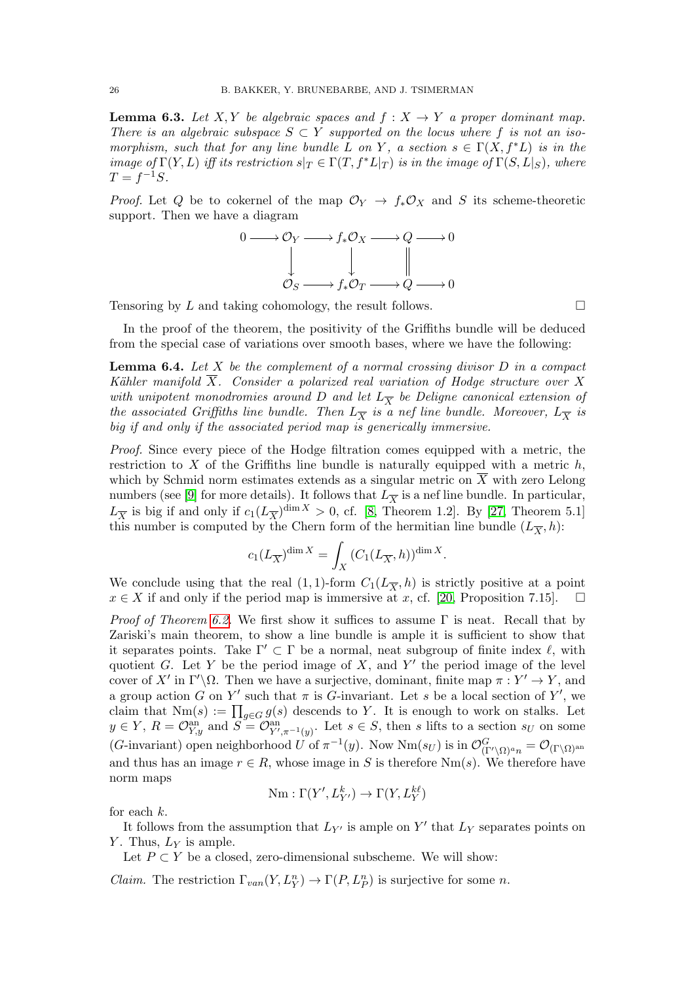<span id="page-25-0"></span>**Lemma 6.3.** Let X, Y be algebraic spaces and  $f : X \to Y$  a proper dominant map. There is an algebraic subspace  $S \subset Y$  supported on the locus where f is not an isomorphism, such that for any line bundle L on Y, a section  $s \in \Gamma(X, f^*L)$  is in the image of  $\Gamma(Y, L)$  iff its restriction  $s|_T \in \Gamma(T, f^*L|_T)$  is in the image of  $\Gamma(S, L|_S)$ , where  $T = f^{-1}S.$ 

*Proof.* Let Q be to cokernel of the map  $\mathcal{O}_Y \to f_* \mathcal{O}_X$  and S its scheme-theoretic support. Then we have a diagram

$$
0 \longrightarrow \mathcal{O}_Y \longrightarrow f_*\mathcal{O}_X \longrightarrow Q \longrightarrow 0
$$
  

$$
\downarrow \qquad \qquad \downarrow \qquad \qquad \parallel
$$
  

$$
\mathcal{O}_S \longrightarrow f_*\mathcal{O}_T \longrightarrow Q \longrightarrow 0
$$

Tensoring by  $L$  and taking cohomology, the result follows.  $\Box$ 

In the proof of the theorem, the positivity of the Griffiths bundle will be deduced from the special case of variations over smooth bases, where we have the following:

<span id="page-25-1"></span>**Lemma 6.4.** Let  $X$  be the complement of a normal crossing divisor  $D$  in a compact Kähler manifold  $\overline{X}$ . Consider a polarized real variation of Hodge structure over X with unipotent monodromies around D and let  $L_{\overline{X}}$  be Deligne canonical extension of the associated Griffiths line bundle. Then  $L_{\overline{X}}$  is a nef line bundle. Moreover,  $L_{\overline{X}}$  is big if and only if the associated period map is generically immersive.

Proof. Since every piece of the Hodge filtration comes equipped with a metric, the restriction to  $X$  of the Griffiths line bundle is naturally equipped with a metric  $h$ , which by Schmid norm estimates extends as a singular metric on  $\overline{X}$  with zero Lelong numbers (see [\[9\]](#page-30-14) for more details). It follows that  $L_{\overline{X}}$  is a nef line bundle. In particular,  $L_{\overline{X}}$  is big if and only if  $c_1(L_{\overline{X}})^{\dim X} > 0$ , cf. [\[8,](#page-30-15) Theorem 1.2]. By [\[27,](#page-30-16) Theorem 5.1] this number is computed by the Chern form of the hermitian line bundle  $(L_{\overline{X}}, h)$ :

$$
c_1(L_{\overline{X}})^{\dim X} = \int_X \left( C_1(L_{\overline{X}}, h) \right)^{\dim X}.
$$

We conclude using that the real  $(1,1)$ -form  $C_1(L_{\overline{X}}, h)$  is strictly positive at a point  $x \in X$  if and only if the period map is immersive at x, cf. [\[20,](#page-30-4) Proposition 7.15].  $\Box$ 

*Proof of Theorem [6.2.](#page-24-1)* We first show it suffices to assume  $\Gamma$  is neat. Recall that by Zariski's main theorem, to show a line bundle is ample it is sufficient to show that it separates points. Take  $\Gamma' \subset \Gamma$  be a normal, neat subgroup of finite index  $\ell$ , with quotient G. Let Y be the period image of  $X$ , and Y' the period image of the level cover of X' in  $\Gamma'\backslash\Omega$ . Then we have a surjective, dominant, finite map  $\pi: Y' \to Y$ , and a group action G on Y' such that  $\pi$  is G-invariant. Let s be a local section of Y', we claim that  $Nm(s) := \prod_{g \in G} g(s)$  descends to Y. It is enough to work on stalks. Let  $y \in Y$ ,  $R = \mathcal{O}_{Y,y}^{\text{an}}$  and  $S = \mathcal{O}_{Y',\pi^{-1}(y)}^{\text{an}}$ . Let  $s \in S$ , then s lifts to a section  $s_U$  on some (G-invariant) open neighborhood U of  $\pi^{-1}(y)$ . Now  $Nm(s_U)$  is in  $\mathcal{O}_{(\Gamma/\Omega)^{a_n}}^G = \mathcal{O}_{(\Gamma \backslash \Omega)^{an}}$ and thus has an image  $r \in R$ , whose image in S is therefore Nm(s). We therefore have norm maps

$$
\mathrm{Nm}:\Gamma(Y',L_{Y'}^k)\to \Gamma(Y,L_Y^{k\ell})
$$

for each k.

It follows from the assumption that  $L_{Y'}$  is ample on Y' that  $L_Y$  separates points on Y. Thus,  $L_Y$  is ample.

Let  $P \subset Y$  be a closed, zero-dimensional subscheme. We will show:

*Claim.* The restriction  $\Gamma_{van}(Y, L_Y^n) \to \Gamma(P, L_P^n)$  is surjective for some *n*.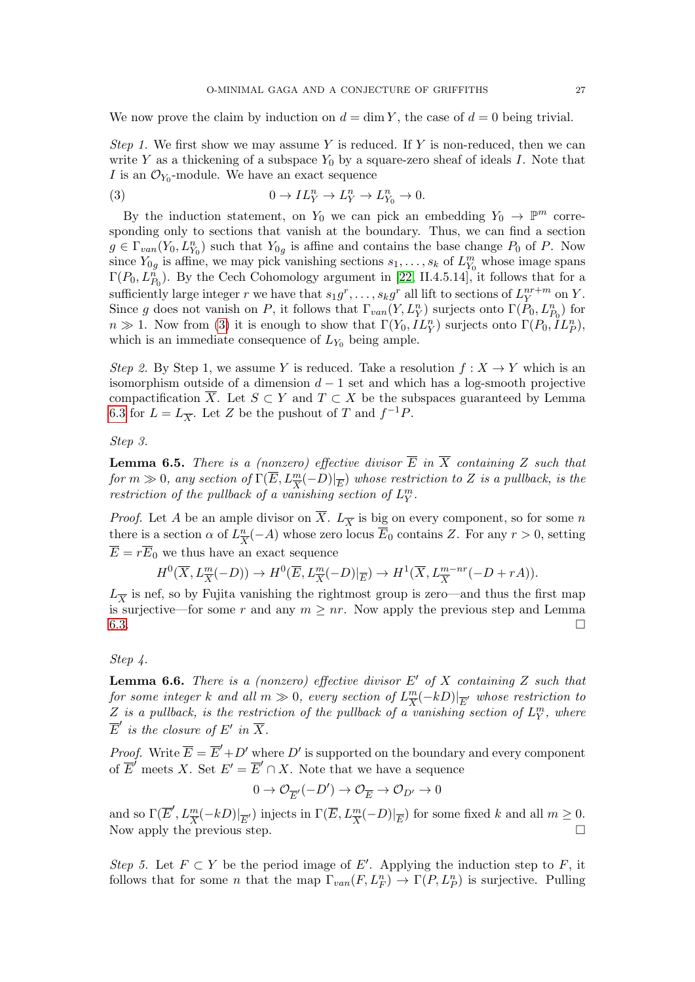We now prove the claim by induction on  $d = \dim Y$ , the case of  $d = 0$  being trivial.

Step 1. We first show we may assume Y is reduced. If Y is non-reduced, then we can write Y as a thickening of a subspace  $Y_0$  by a square-zero sheaf of ideals I. Note that I is an  $\mathcal{O}_{Y_0}$ -module. We have an exact sequence

<span id="page-26-0"></span>(3) 
$$
0 \to IL_Y^n \to L_Y^n \to L_{Y_0}^n \to 0.
$$

By the induction statement, on  $Y_0$  we can pick an embedding  $Y_0 \to \mathbb{P}^m$  corresponding only to sections that vanish at the boundary. Thus, we can find a section  $g \in \Gamma_{van}(Y_0, L_{Y_0}^n)$  such that  $Y_{0g}$  is affine and contains the base change  $P_0$  of P. Now since  $Y_{0g}$  is affine, we may pick vanishing sections  $s_1, \ldots, s_k$  of  $L_{Y_0}^m$  whose image spans  $\Gamma(P_0, L_{P_0}^n)$ . By the Cech Cohomology argument in [\[22,](#page-30-17) II.4.5.14], it follows that for a sufficiently large integer r we have that  $s_1g^r, \ldots, s_kg^r$  all lift to sections of  $L_Y^{nr+m}$  $Y^{n+m}$  on Y. Since g does not vanish on P, it follows that  $\Gamma_{van}(Y, L_Y^n)$  surjects onto  $\Gamma(P_0, L_{P_0}^n)$  for  $n \gg 1$ . Now from [\(3\)](#page-26-0) it is enough to show that  $\Gamma(Y_0, IL_Y^n)$  surjects onto  $\Gamma(P_0, IL_P^n)$ , which is an immediate consequence of  $L_{Y_0}$  being ample.

Step 2. By Step 1, we assume Y is reduced. Take a resolution  $f: X \to Y$  which is an isomorphism outside of a dimension  $d-1$  set and which has a log-smooth projective compactification  $\overline{X}$ . Let  $S \subset Y$  and  $T \subset X$  be the subspaces guaranteed by Lemma [6.3](#page-25-0) for  $L = L_{\overline{X}}$ . Let Z be the pushout of T and  $f^{-1}P$ .

Step 3.

**Lemma 6.5.** There is a (nonzero) effective divisor  $\overline{E}$  in  $\overline{X}$  containing Z such that for  $m \gg 0$ , any section of  $\Gamma(\overline{E}, L_{\overline{X}}^m(-D)|_{\overline{E}})$  whose restriction to Z is a pullback, is the restriction of the pullback of a vanishing section of  $L_Y^m$ .

*Proof.* Let A be an ample divisor on  $\overline{X}$ .  $L_{\overline{X}}$  is big on every component, so for some n there is a section  $\alpha$  of  $L^{\underline{n}}_{\overline{s}}$  $\frac{n}{X}(-A)$  whose zero locus  $E_0$  contains Z. For any  $r > 0$ , setting  $\overline{E} = r\overline{E}_0$  we thus have an exact sequence

$$
H^0(\overline{X}, L_{\overline{X}}^m(-D)) \to H^0(\overline{E}, L_{\overline{X}}^m(-D)|_{\overline{E}}) \to H^1(\overline{X}, L_{\overline{X}}^{m-nr}(-D + rA)).
$$

 $L_{\overline{X}}$  is nef, so by Fujita vanishing the rightmost group is zero—and thus the first map is surjective—for some r and any  $m \geq nr$ . Now apply the previous step and Lemma [6.3.](#page-25-0)

## Step 4.

**Lemma 6.6.** There is a (nonzero) effective divisor  $E'$  of X containing Z such that for some integer k and all  $m \gg 0$ , every section of  $L^{\frac{m}{\sqrt{\epsilon}}}$  $\frac{m}{X}(-kD)|_{\overline{E}'}$  whose restriction to Z is a pullback, is the restriction of the pullback of a vanishing section of  $L_Y^m$ , where  $\overline{E}'$  is the closure of  $E'$  in  $\overline{X}$ .

*Proof.* Write  $\overline{E} = \overline{E}' + D'$  where D' is supported on the boundary and every component of  $\overline{E}^{\prime}$  meets X. Set  $E^{\prime} = \overline{E}^{\prime} \cap X$ . Note that we have a sequence

$$
0 \to \mathcal{O}_{\overline{E}}(-D') \to \mathcal{O}_{\overline{E}} \to \mathcal{O}_{D'} \to 0
$$

and so  $\Gamma(\overline{E}', L_{\overline{X}}^m(-kD)|_{\overline{E}'})$  injects in  $\Gamma(\overline{E}, L_{\overline{X}}^m(-D)|_{\overline{E}})$  for some fixed k and all  $m \geq 0$ . Now apply the previous step.  $\Box$ 

Step 5. Let  $F \subset Y$  be the period image of E'. Applying the induction step to F, it follows that for some *n* that the map  $\Gamma_{van}(F, L_F^n) \to \Gamma(P, L_P^n)$  is surjective. Pulling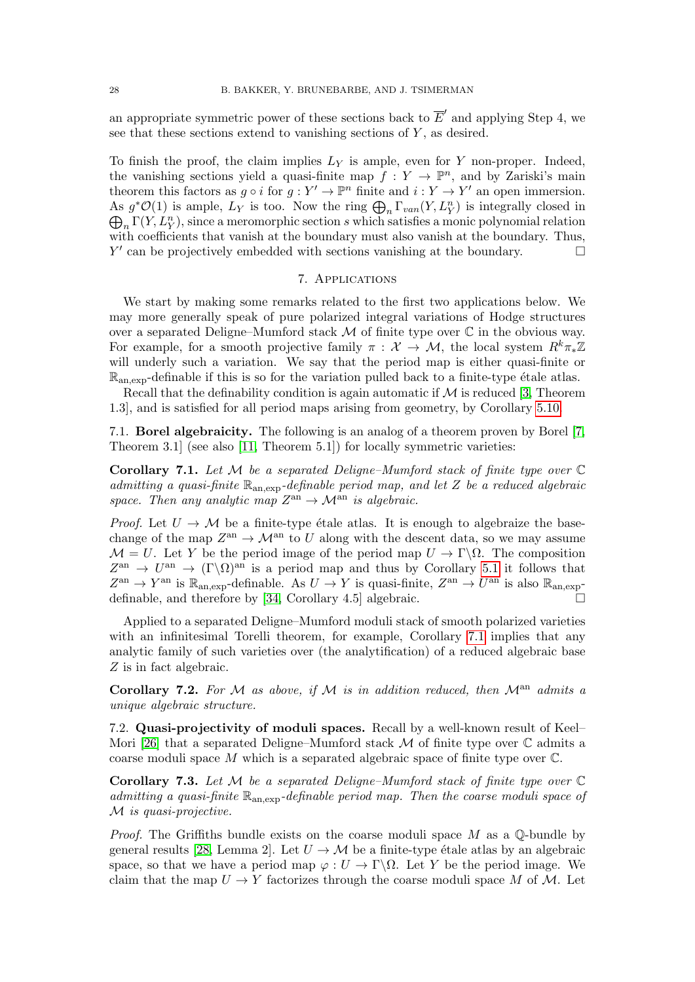an appropriate symmetric power of these sections back to  $\overline{E}'$  and applying Step 4, we see that these sections extend to vanishing sections of  $Y$ , as desired.

To finish the proof, the claim implies  $L_Y$  is ample, even for Y non-proper. Indeed, the vanishing sections yield a quasi-finite map  $f: Y \to \mathbb{P}^n$ , and by Zariski's main theorem this factors as  $g \circ i$  for  $g: Y' \to \mathbb{P}^n$  finite and  $i: Y \to Y'$  an open immersion. As  $g^*O(1)$  is ample,  $L_Y$  is too. Now the ring  $\bigoplus_n \Gamma_{van}(Y, L_Y^n)$  is integrally closed in  $\bigoplus_{n} \Gamma(Y, L_Y^n)$ , since a meromorphic section s which satisfies a monic polynomial relation with coefficients that vanish at the boundary must also vanish at the boundary. Thus,  $Y'$  can be projectively embedded with sections vanishing at the boundary.

## 7. Applications

<span id="page-27-2"></span>We start by making some remarks related to the first two applications below. We may more generally speak of pure polarized integral variations of Hodge structures over a separated Deligne–Mumford stack  $\mathcal M$  of finite type over  $\mathbb C$  in the obvious way. For example, for a smooth projective family  $\pi : \mathcal{X} \to \mathcal{M}$ , the local system  $R^k \pi_* \mathbb{Z}$ will underly such a variation. We say that the period map is either quasi-finite or  $\mathbb{R}_{\text{an,exp}}$ -definable if this is so for the variation pulled back to a finite-type étale atlas.

Recall that the definability condition is again automatic if  $M$  is reduced [\[3,](#page-30-3) Theorem 1.3], and is satisfied for all period maps arising from geometry, by Corollary [5.10.](#page-24-2)

<span id="page-27-0"></span>7.1. Borel algebraicity. The following is an analog of a theorem proven by Borel [\[7,](#page-30-18) Theorem 3.1] (see also [\[11,](#page-30-19) Theorem 5.1]) for locally symmetric varieties:

<span id="page-27-4"></span>**Corollary 7.1.** Let M be a separated Deligne–Mumford stack of finite type over  $\mathbb C$ admitting a quasi-finite  $\mathbb{R}_{an,exp}$ -definable period map, and let Z be a reduced algebraic space. Then any analytic map  $Z^{\text{an}} \to \mathcal{M}^{\text{an}}$  is algebraic.

*Proof.* Let  $U \rightarrow M$  be a finite-type étale atlas. It is enough to algebraize the basechange of the map  $Z^{\text{an}} \to \mathcal{M}^{\text{an}}$  to U along with the descent data, so we may assume  $\mathcal{M} = U$ . Let Y be the period image of the period map  $U \to \Gamma \backslash \Omega$ . The composition  $Z^{\text{an}} \to U^{\text{an}} \to (\Gamma \backslash \Omega)^{\text{an}}$  is a period map and thus by Corollary [5.1](#page-21-2) it follows that  $Z^{\text{an}} \to Y^{\text{an}}$  is  $\mathbb{R}_{\text{an,exp}}$ -definable. As  $U \to Y$  is quasi-finite,  $Z^{\text{an}} \to U^{\text{an}}$  is also  $\mathbb{R}_{\text{an,exp}}$ -definable, and therefore by [\[34,](#page-31-1) Corollary 4.5] algebraic.  $\Box$ 

Applied to a separated Deligne–Mumford moduli stack of smooth polarized varieties with an infinitesimal Torelli theorem, for example, Corollary [7.1](#page-27-4) implies that any analytic family of such varieties over (the analytification) of a reduced algebraic base Z is in fact algebraic.

Corollary 7.2. For M as above, if M is in addition reduced, then  $M<sup>an</sup>$  admits a unique algebraic structure.

<span id="page-27-1"></span>7.2. Quasi-projectivity of moduli spaces. Recall by a well-known result of Keel– Mori [\[26\]](#page-30-20) that a separated Deligne–Mumford stack  $M$  of finite type over  $\mathbb C$  admits a coarse moduli space  $M$  which is a separated algebraic space of finite type over  $\mathbb{C}$ .

<span id="page-27-3"></span>**Corollary 7.3.** Let M be a separated Deligne–Mumford stack of finite type over  $\mathbb C$ admitting a quasi-finite  $\mathbb{R}_{an,exp}$ -definable period map. Then the coarse moduli space of M is quasi-projective.

*Proof.* The Griffiths bundle exists on the coarse moduli space M as a  $\mathbb{Q}$ -bundle by general results [\[28,](#page-31-8) Lemma 2]. Let  $U \rightarrow M$  be a finite-type étale atlas by an algebraic space, so that we have a period map  $\varphi: U \to \Gamma \backslash \Omega$ . Let Y be the period image. We claim that the map  $U \to Y$  factorizes through the coarse moduli space M of M. Let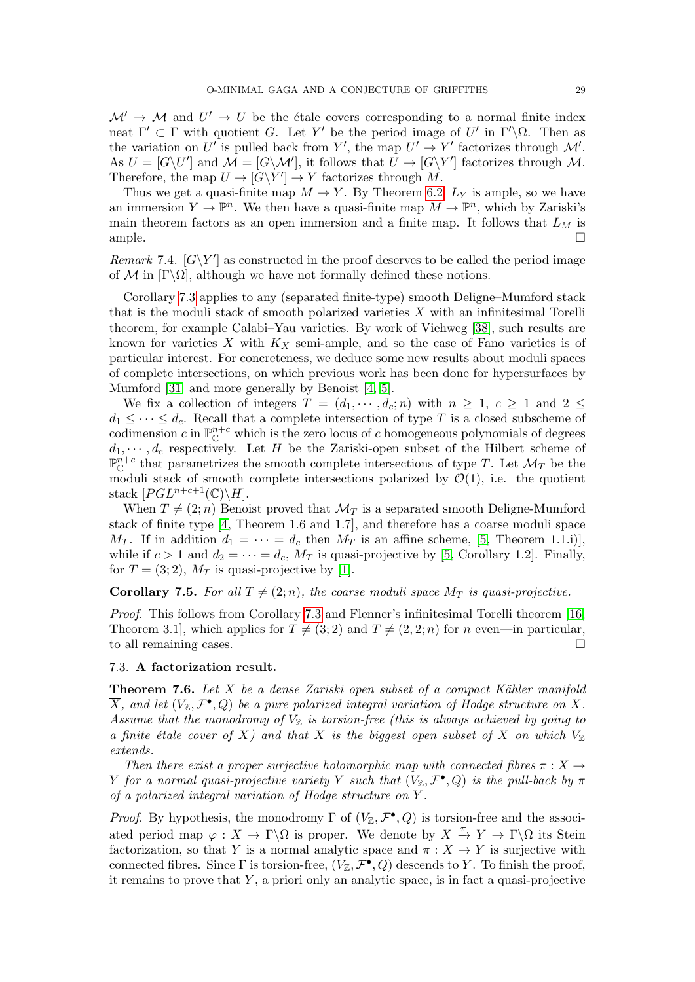$\mathcal{M}' \to \mathcal{M}$  and  $U' \to U$  be the étale covers corresponding to a normal finite index neat  $\Gamma' \subset \Gamma$  with quotient G. Let Y' be the period image of U' in  $\Gamma' \backslash \Omega$ . Then as the variation on U' is pulled back from Y', the map  $U' \to Y'$  factorizes through M'. As  $U = [G\setminus U']$  and  $\mathcal{M} = [G\setminus \mathcal{M}']$ , it follows that  $U \to [G\setminus Y']$  factorizes through  $\mathcal{M}$ . Therefore, the map  $U \to |G \backslash Y'| \to Y$  factorizes through M.

Thus we get a quasi-finite map  $M \to Y$ . By Theorem [6.2,](#page-24-1)  $L_Y$  is ample, so we have an immersion  $Y \to \mathbb{P}^n$ . We then have a quasi-finite map  $M \to \mathbb{P}^n$ , which by Zariski's main theorem factors as an open immersion and a finite map. It follows that  $L_M$  is ample.

Remark 7.4.  $[G\Y]$  as constructed in the proof deserves to be called the period image of M in  $[\Gamma \backslash \Omega]$ , although we have not formally defined these notions.

Corollary [7.3](#page-27-3) applies to any (separated finite-type) smooth Deligne–Mumford stack that is the moduli stack of smooth polarized varieties  $X$  with an infinitesimal Torelli theorem, for example Calabi–Yau varieties. By work of Viehweg [\[38\]](#page-31-0), such results are known for varieties  $X$  with  $K_X$  semi-ample, and so the case of Fano varieties is of particular interest. For concreteness, we deduce some new results about moduli spaces of complete intersections, on which previous work has been done for hypersurfaces by Mumford [\[31\]](#page-31-9) and more generally by Benoist [\[4,](#page-30-21) [5\]](#page-30-22).

We fix a collection of integers  $T = (d_1, \dots, d_c; n)$  with  $n \geq 1$ ,  $c \geq 1$  and  $2 \leq$  $d_1 \leq \cdots \leq d_c$ . Recall that a complete intersection of type T is a closed subscheme of codimension c in  $\mathbb{P}_{\mathbb{C}}^{n+c}$  which is the zero locus of c homogeneous polynomials of degrees  $d_1, \dots, d_c$  respectively. Let H be the Zariski-open subset of the Hilbert scheme of  $\mathbb{P}^{n+c}_{\mathbb{C}}$  that parametrizes the smooth complete intersections of type T. Let  $\mathcal{M}_T$  be the moduli stack of smooth complete intersections polarized by  $\mathcal{O}(1)$ , i.e. the quotient stack  $[PGL^{n+c+1}(\mathbb{C})\backslash H].$ 

When  $T \neq (2; n)$  Benoist proved that  $\mathcal{M}_T$  is a separated smooth Deligne-Mumford stack of finite type [\[4,](#page-30-21) Theorem 1.6 and 1.7], and therefore has a coarse moduli space  $M_T$ . If in addition  $d_1 = \cdots = d_c$  then  $M_T$  is an affine scheme, [\[5,](#page-30-22) Theorem 1.1.i)], while if  $c > 1$  and  $d_2 = \cdots = d_c$ ,  $M_T$  is quasi-projective by [\[5,](#page-30-22) Corollary 1.2]. Finally, for  $T = (3, 2)$ ,  $M_T$  is quasi-projective by [\[1\]](#page-30-23).

**Corollary 7.5.** For all  $T \neq (2; n)$ , the coarse moduli space  $M_T$  is quasi-projective.

Proof. This follows from Corollary [7.3](#page-27-3) and Flenner's infinitesimal Torelli theorem [\[16,](#page-30-24) Theorem 3.1, which applies for  $T \neq (3, 2)$  and  $T \neq (2, 2; n)$  for n even—in particular, to all remaining cases.

#### <span id="page-28-0"></span>7.3. A factorization result.

**Theorem 7.6.** Let X be a dense Zariski open subset of a compact Kähler manifold  $\overline{X}$ , and let  $(V_{\mathbb{Z}},\mathcal{F}^{\bullet},Q)$  be a pure polarized integral variation of Hodge structure on X. Assume that the monodromy of  $V_{\mathbb{Z}}$  is torsion-free (this is always achieved by going to a finite étale cover of X) and that X is the biggest open subset of  $\overline{X}$  on which  $V_{\mathbb{Z}}$ extends.

Then there exist a proper surjective holomorphic map with connected fibres  $\pi : X \rightarrow$ Y for a normal quasi-projective variety Y such that  $(V_{\mathbb{Z}}, \mathcal{F}^{\bullet}, Q)$  is the pull-back by  $\pi$ of a polarized integral variation of Hodge structure on Y .

*Proof.* By hypothesis, the monodromy  $\Gamma$  of  $(V_{\mathbb{Z}}, \mathcal{F}^{\bullet}, Q)$  is torsion-free and the associated period map  $\varphi: X \to \Gamma \backslash \Omega$  is proper. We denote by  $X \stackrel{\pi}{\to} Y \to \Gamma \backslash \Omega$  its Stein factorization, so that Y is a normal analytic space and  $\pi : X \to Y$  is surjective with connected fibres. Since  $\Gamma$  is torsion-free,  $(V_{\mathbb{Z}}, \mathcal{F}^{\bullet}, Q)$  descends to Y. To finish the proof, it remains to prove that  $Y$ , a priori only an analytic space, is in fact a quasi-projective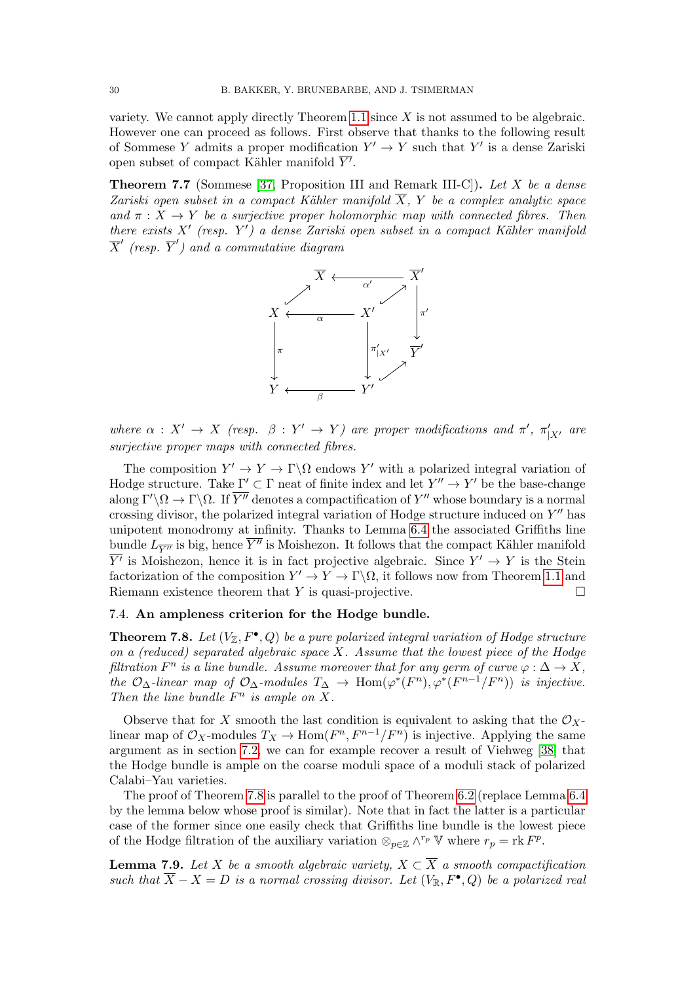variety. We cannot apply directly Theorem [1.1](#page-0-1) since  $X$  is not assumed to be algebraic. However one can proceed as follows. First observe that thanks to the following result of Sommese Y admits a proper modification  $Y' \to Y$  such that Y' is a dense Zariski open subset of compact Kähler manifold  $\overline{Y'}$ .

**Theorem 7.7** (Sommese [\[37,](#page-31-4) Proposition III and Remark III-C]). Let X be a dense Zariski open subset in a compact Kähler manifold  $\overline{X}$ , Y be a complex analytic space and  $\pi : X \to Y$  be a surjective proper holomorphic map with connected fibres. Then there exists  $X'$  (resp.  $Y'$ ) a dense Zariski open subset in a compact Kähler manifold  $\overline{X}'$  (resp.  $\overline{Y}'$ ) and a commutative diagram



where  $\alpha : X' \to X$  (resp.  $\beta : Y' \to Y$ ) are proper modifications and  $\pi'$ ,  $\pi'_{|X'}$  are surjective proper maps with connected fibres.

The composition  $Y' \to Y \to \Gamma \backslash \Omega$  endows Y' with a polarized integral variation of Hodge structure. Take  $\Gamma' \subset \Gamma$  neat of finite index and let  $Y'' \to Y'$  be the base-change along  $\Gamma'\backslash\Omega \to \Gamma\backslash\Omega$ . If  $\overline{Y''}$  denotes a compactification of  $Y''$  whose boundary is a normal crossing divisor, the polarized integral variation of Hodge structure induced on  $Y''$  has unipotent monodromy at infinity. Thanks to Lemma [6.4](#page-25-1) the associated Griffiths line bundle  $L_{\overline{Y''}}$  is big, hence  $\overline{Y''}$  is Moishezon. It follows that the compact Kähler manifold  $\overline{Y'}$  is Moishezon, hence it is in fact projective algebraic. Since  $Y' \to Y$  is the Stein factorization of the composition  $Y' \to Y \to \Gamma \backslash \Omega$ , it follows now from Theorem [1.1](#page-0-1) and Riemann existence theorem that Y is quasi-projective.  $\Box$ 

### <span id="page-29-0"></span>7.4. An ampleness criterion for the Hodge bundle.

<span id="page-29-1"></span>**Theorem 7.8.** Let  $(V_{\mathbb{Z}}, F^{\bullet}, Q)$  be a pure polarized integral variation of Hodge structure on a (reduced) separated algebraic space  $X$ . Assume that the lowest piece of the Hodge filtration  $F^n$  is a line bundle. Assume moreover that for any germ of curve  $\varphi : \Delta \to X$ , the  $\mathcal{O}_{\Delta}$ -linear map of  $\mathcal{O}_{\Delta}$ -modules  $T_{\Delta} \to \text{Hom}(\varphi^*(F^n), \varphi^*(F^{n-1}/F^n))$  is injective. Then the line bundle  $F^n$  is ample on X.

Observe that for X smooth the last condition is equivalent to asking that the  $\mathcal{O}_X$ linear map of  $\mathcal{O}_X$ -modules  $T_X \to \text{Hom}(F^n, F^{n-1}/F^n)$  is injective. Applying the same argument as in section [7.2,](#page-27-1) we can for example recover a result of Viehweg [\[38\]](#page-31-0) that the Hodge bundle is ample on the coarse moduli space of a moduli stack of polarized Calabi–Yau varieties.

The proof of Theorem [7.8](#page-29-1) is parallel to the proof of Theorem [6.2](#page-24-1) (replace Lemma [6.4](#page-25-1) by the lemma below whose proof is similar). Note that in fact the latter is a particular case of the former since one easily check that Griffiths line bundle is the lowest piece of the Hodge filtration of the auxiliary variation  $\otimes_{p\in\mathbb{Z}} \wedge^{r_p} \mathbb{V}$  where  $r_p = \text{rk } F^p$ .

**Lemma 7.9.** Let X be a smooth algebraic variety,  $X \subset \overline{X}$  a smooth compactification such that  $\overline{X} - X = D$  is a normal crossing divisor. Let  $(V_{\mathbb{R}}, F^{\bullet}, Q)$  be a polarized real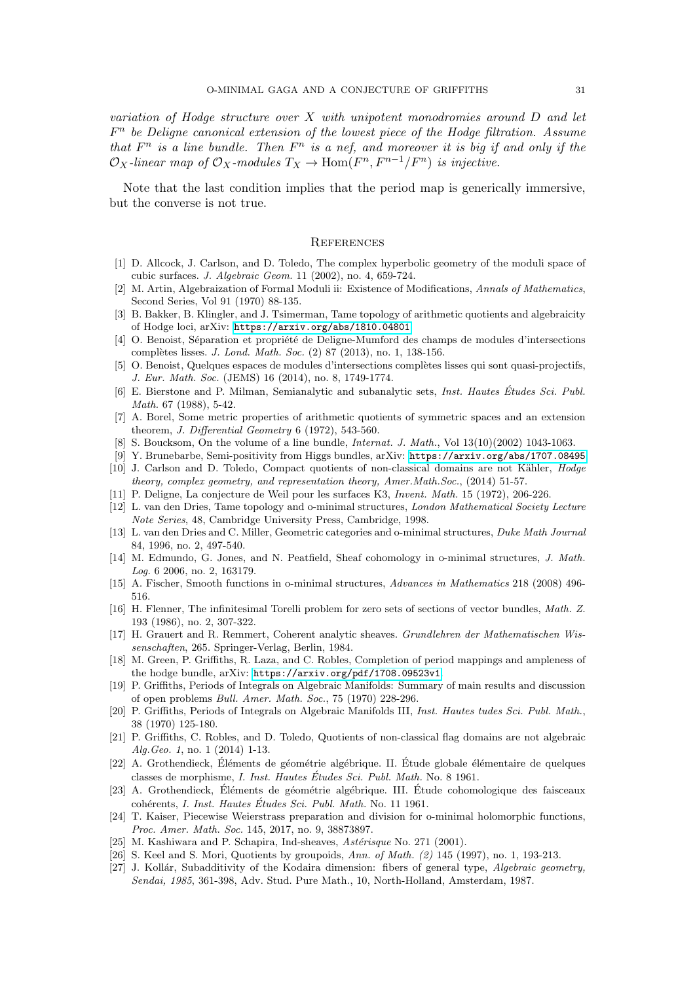variation of Hodge structure over  $X$  with unipotent monodromies around  $D$  and let  $F<sup>n</sup>$  be Deligne canonical extension of the lowest piece of the Hodge filtration. Assume that  $F^n$  is a line bundle. Then  $F^n$  is a nef, and moreover it is big if and only if the  $\mathcal{O}_X$ -linear map of  $\mathcal{O}_X$ -modules  $T_X \to \text{Hom}(F^n, F^{n-1}/F^n)$  is injective.

Note that the last condition implies that the period map is generically immersive, but the converse is not true.

#### **REFERENCES**

- <span id="page-30-23"></span>[1] D. Allcock, J. Carlson, and D. Toledo, The complex hyperbolic geometry of the moduli space of cubic surfaces. J. Algebraic Geom. 11 (2002), no. 4, 659-724.
- <span id="page-30-13"></span>[2] M. Artin, Algebraization of Formal Moduli ii: Existence of Modifications, Annals of Mathematics, Second Series, Vol 91 (1970) 88-135.
- <span id="page-30-3"></span>[3] B. Bakker, B. Klingler, and J. Tsimerman, Tame topology of arithmetic quotients and algebraicity of Hodge loci, arXiv: <https://arxiv.org/abs/1810.04801>
- <span id="page-30-21"></span>[4] O. Benoist, Séparation et propriété de Deligne-Mumford des champs de modules d'intersections complètes lisses. *J. Lond. Math. Soc.* (2) 87 (2013), no. 1, 138-156.
- <span id="page-30-22"></span>[5] O. Benoist, Quelques espaces de modules d'intersections complètes lisses qui sont quasi-projectifs, J. Eur. Math. Soc. (JEMS) 16 (2014), no. 8, 1749-1774.
- <span id="page-30-11"></span>[6] E. Bierstone and P. Milman, Semianalytic and subanalytic sets, Inst. Hautes Etudes Sci. Publ. ´ Math. 67 (1988), 5-42.
- <span id="page-30-18"></span>[7] A. Borel, Some metric properties of arithmetic quotients of symmetric spaces and an extension theorem, J. Differential Geometry 6 (1972), 543-560.
- <span id="page-30-15"></span>[8] S. Boucksom, On the volume of a line bundle, *Internat. J. Math.*, Vol 13(10)(2002) 1043-1063.
- <span id="page-30-14"></span>[9] Y. Brunebarbe, Semi-positivity from Higgs bundles, arXiv: <https://arxiv.org/abs/1707.08495>
- <span id="page-30-1"></span>[10] J. Carlson and D. Toledo, Compact quotients of non-classical domains are not Kähler, Hodge theory, complex geometry, and representation theory, Amer.Math.Soc., (2014) 51-57.
- <span id="page-30-19"></span>[11] P. Deligne, La conjecture de Weil pour les surfaces K3, Invent. Math. 15 (1972), 206-226.
- <span id="page-30-9"></span>[12] L. van den Dries, Tame topology and o-minimal structures, London Mathematical Society Lecture Note Series, 48, Cambridge University Press, Cambridge, 1998.
- <span id="page-30-10"></span>[13] L. van den Dries and C. Miller, Geometric categories and o-minimal structures, Duke Math Journal 84, 1996, no. 2, 497-540.
- <span id="page-30-6"></span>[14] M. Edmundo, G. Jones, and N. Peatfield, Sheaf cohomology in o-minimal structures, J. Math. Log. 6 2006, no. 2, 163179.
- [15] A. Fischer, Smooth functions in o-minimal structures, Advances in Mathematics 218 (2008) 496- 516.
- <span id="page-30-24"></span>[16] H. Flenner, The infinitesimal Torelli problem for zero sets of sections of vector bundles, Math. Z. 193 (1986), no. 2, 307-322.
- <span id="page-30-12"></span>[17] H. Grauert and R. Remmert, Coherent analytic sheaves. Grundlehren der Mathematischen Wissenschaften, 265. Springer-Verlag, Berlin, 1984.
- <span id="page-30-5"></span>[18] M. Green, P. Griffiths, R. Laza, and C. Robles, Completion of period mappings and ampleness of the hodge bundle, arXiv: <https://arxiv.org/pdf/1708.09523v1>.
- <span id="page-30-0"></span>[19] P. Griffiths, Periods of Integrals on Algebraic Manifolds: Summary of main results and discussion of open problems Bull. Amer. Math. Soc., 75 (1970) 228-296.
- <span id="page-30-4"></span>[20] P. Griffiths, Periods of Integrals on Algebraic Manifolds III, Inst. Hautes tudes Sci. Publ. Math., 38 (1970) 125-180.
- <span id="page-30-2"></span>[21] P. Griffiths, C. Robles, and D. Toledo, Quotients of non-classical flag domains are not algebraic Alg.Geo. 1, no. 1 (2014) 1-13.
- <span id="page-30-17"></span>[22] A. Grothendieck, Éléments de géométrie algébrique. II. Étude globale élémentaire de quelques classes de morphisme, *I. Inst. Hautes Études Sci. Publ. Math.* No. 8 1961.
- [23] A. Grothendieck, Eléments de géométrie algébrique. III. Étude cohomologique des faisceaux cohérents, I. Inst. Hautes Études Sci. Publ. Math. No. 11 1961.
- <span id="page-30-7"></span>[24] T. Kaiser, Piecewise Weierstrass preparation and division for o-minimal holomorphic functions, Proc. Amer. Math. Soc. 145, 2017, no. 9, 38873897.
- <span id="page-30-8"></span>[25] M. Kashiwara and P. Schapira, Ind-sheaves, Astérisque No. 271 (2001).
- <span id="page-30-20"></span>[26] S. Keel and S. Mori, Quotients by groupoids, Ann. of Math. (2) 145 (1997), no. 1, 193-213.
- <span id="page-30-16"></span>[27] J. Kollár, Subadditivity of the Kodaira dimension: fibers of general type, Algebraic geometry, Sendai, 1985, 361-398, Adv. Stud. Pure Math., 10, North-Holland, Amsterdam, 1987.